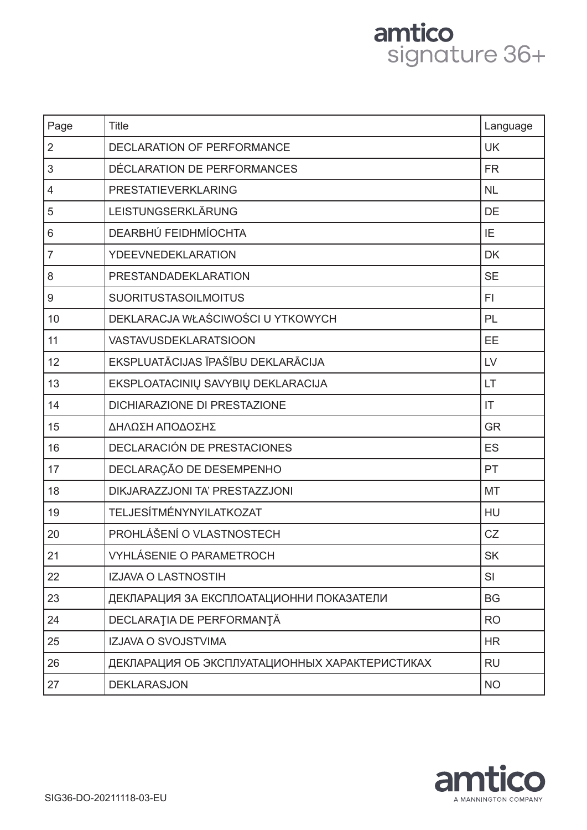# amtico<br>signature 36+

| Page           | <b>Title</b>                                   | Language  |
|----------------|------------------------------------------------|-----------|
| $\overline{2}$ | DECLARATION OF PERFORMANCE                     | <b>UK</b> |
| 3              | DÉCLARATION DE PERFORMANCES                    | <b>FR</b> |
| $\overline{4}$ | PRESTATIEVERKLARING                            | <b>NL</b> |
| 5              | LEISTUNGSERKLÄRUNG                             | DE        |
| $6\,$          | DEARBHÚ FEIDHMÍOCHTA                           | IE        |
| $\overline{7}$ | YDEEVNEDEKLARATION                             | <b>DK</b> |
| 8              | PRESTANDADEKLARATION                           | <b>SE</b> |
| 9              | <b>SUORITUSTASOILMOITUS</b>                    | FI.       |
| 10             | DEKLARACJA WŁAŚCIWOŚCI U YTKOWYCH              | PL        |
| 11             | <b>VASTAVUSDEKLARATSIOON</b>                   | EE        |
| 12             | EKSPLUATĀCIJAS ĪPAŠĪBU DEKLARĀCIJA             | LV        |
| 13             | EKSPLOATACINIŲ SAVYBIŲ DEKLARACIJA             | LT        |
| 14             | DICHIARAZIONE DI PRESTAZIONE                   | IT        |
| 15             | ΔΗΛΩΣΗ ΑΠΟΔΟΣΗΣ                                | <b>GR</b> |
| 16             | DECLARACIÓN DE PRESTACIONES                    | <b>ES</b> |
| 17             | DECLARAÇÃO DE DESEMPENHO                       | PT        |
| 18             | DIKJARAZZJONI TA' PRESTAZZJONI                 | MT        |
| 19             | <b>TELJESÍTMÉNYNYILATKOZAT</b>                 | HU        |
| 20             | PROHLÁŠENÍ O VLASTNOSTECH                      | CZ        |
| 21             | VYHLÁSENIE O PARAMETROCH                       | <b>SK</b> |
| 22             | IZJAVA O LASTNOSTIH                            | SI        |
| 23             | ДЕКЛАРАЦИЯ ЗА ЕКСПЛОАТАЦИОННИ ПОКАЗАТЕЛИ       | <b>BG</b> |
| 24             | DECLARAȚIA DE PERFORMANȚĂ                      | <b>RO</b> |
| 25             | <b>IZJAVA O SVOJSTVIMA</b>                     | <b>HR</b> |
| 26             | ДЕКЛАРАЦИЯ ОБ ЭКСПЛУАТАЦИОННЫХ ХАРАКТЕРИСТИКАХ | <b>RU</b> |
| 27             | <b>DEKLARASJON</b>                             | <b>NO</b> |

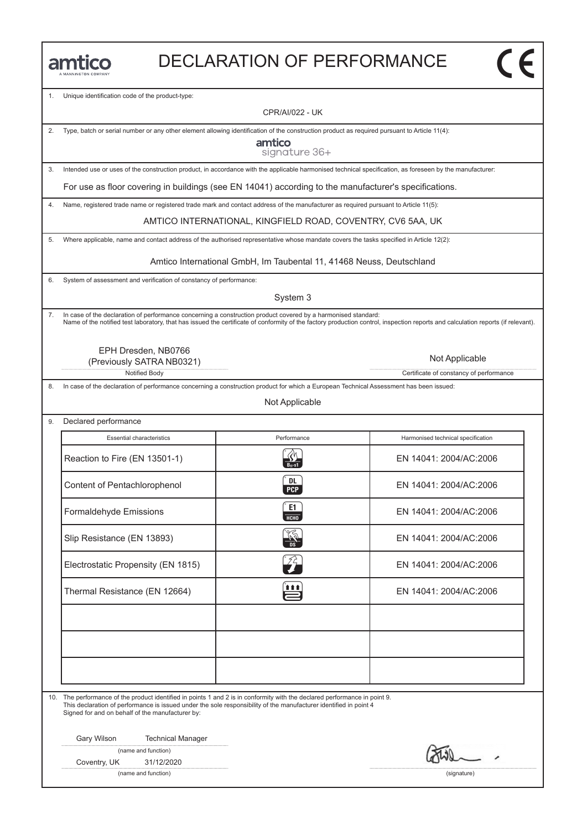| <b>LANNINGTON COMPANY</b> |
|---------------------------|

1. Unique identification code of the product-type:

CPR/AI/022 - UK

2. Type, batch or serial number or any other element allowing identification of the construction product as required pursuant to Article 11(4):

amtico signature 36+

3. Intended use or uses of the construction product, in accordance with the applicable harmonised technical specification, as foreseen by the manufacturer:

For use as floor covering in buildings (see EN 14041) according to the manufacturer's specifications.

4. Name, registered trade name or registered trade mark and contact address of the manufacturer as required pursuant to Article 11(5):

AMTICO INTERNATIONAL, KINGFIELD ROAD, COVENTRY, CV6 5AA, UK

5. Where applicable, name and contact address of the authorised representative whose mandate covers the tasks specified in Article 12(2):

Amtico International GmbH, Im Taubental 11, 41468 Neuss, Deutschland

6. System of assessment and verification of constancy of performance:

System 3

7. In case of the declaration of performance concerning a construction product covered by a harmonised standard: Name of the notified test laboratory, that has issued the certificate of conformity of the factory production control, inspection reports and calculation reports (if relevant).

EPH Dresden, NB0766 (Previously SATRA NB0321)

Notified Body **Certificate of constancy of performance** 

In case of the declaration of performance concerning a construction product for which a European Technical Assessment has been issued:

Not Applicable

9. Declared performance Essential characteristics **Essential characteristics** Performance Harmonised technical specification Essential characteristics Performance Harmonised technical specification<br>Reaction to Fire (EN 13501-1) <br> $\frac{R}{2\pi\epsilon_0}$  EN 14041: 2004/AC:2006 Reaction to Fire (EN 13501-1)<br>
Content of Pentachlorophenol (EN 14041: 2004/AC:2006<br>
EN 14041: 2004/AC:2006 Content of Pentachlorophenol EN 14041: 2004/AC:2006<br>
Formaldehyde Emissions C EN 14041: 2004/AC:2006 EN 14041: 2004/AC:2006<br>
Slip Resistance (EN 13893)<br>
Slip Resistance (EN 13893) Electrostatic Propensity (EN 1815)<br>Electrostatic Propensity (EN 1815)<br>EN 14041: 2004/AC:2006 Electrostatic Propensity (EN 1815)<br>
Thermal Resistance (EN 12664)<br>
EN 14041: 2004/AC:2006

10. The performance of the product identified in points 1 and 2 is in conformity with the declared performance in point 9. This declaration of performance is issued under the sole responsibility of the manufacturer identified in point 4 Signed for and on behalf of the manufacturer by:

Gary Wilson Technical Manager

|  |  | (name and function) |
|--|--|---------------------|
|--|--|---------------------|

Coventry, UK 31/12/2020

(name and function) (signature)

Not Applicable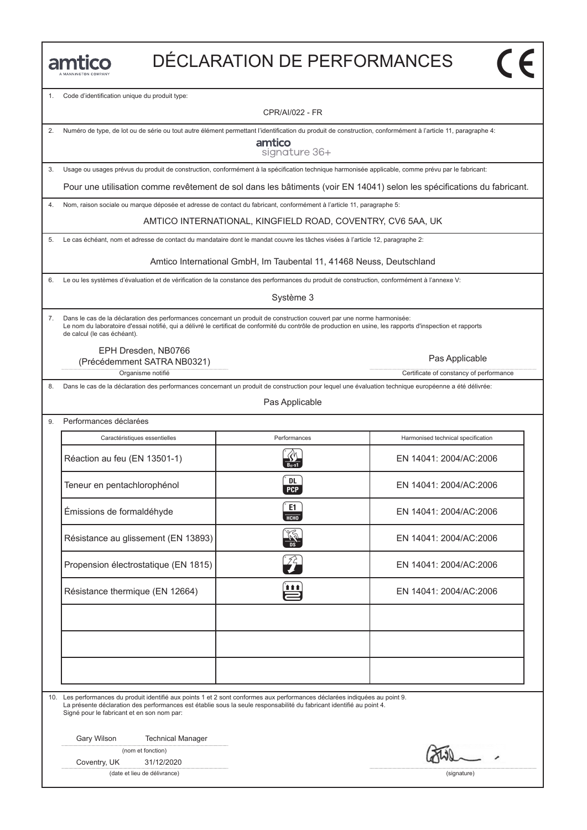1. Code d'identification unique du produit type:

CPR/AI/022 - FR

2. Numéro de type, de lot ou de série ou tout autre élément permettant l'identification du produit de construction, conformément à l'article 11, paragraphe 4:

amtico signature 36+

3. Usage ou usages prévus du produit de construction, conformément à la spécification technique harmonisée applicable, comme prévu par le fabricant:

Pour une utilisation comme revêtement de sol dans les bâtiments (voir EN 14041) selon les spécifications du fabricant.

4. Nom, raison sociale ou marque déposée et adresse de contact du fabricant, conformément à l'article 11, paragraphe 5:

AMTICO INTERNATIONAL, KINGFIELD ROAD, COVENTRY, CV6 5AA, UK

5. Le cas échéant, nom et adresse de contact du mandataire dont le mandat couvre les tâches visées à l'article 12, paragraphe 2:

Amtico International GmbH, Im Taubental 11, 41468 Neuss, Deutschland

6. Le ou les systèmes d'évaluation et de vérification de la constance des performances du produit de construction, conformément à l'annexe V:

Système 3

7. Dans le cas de la déclaration des performances concernant un produit de construction couvert par une norme harmonisée: Le nom du laboratoire d'essai notifié, qui a délivré le certificat de conformité du contrôle de production en usine, les rapports d'inspection et rapports de calcul (le cas échéant).

EPH Dresden, NB0766

Organisme notifié **Certificate of constancy of performance** Certificate of constancy of performance (Précédemment SATRA NB0321) Pas Applicable

8. Dans le cas de la déclaration des performances concernant un produit de construction pour lequel une évaluation technique européenne a été délivrée:

Pas Applicable

| Performances déclarées               |                          |                                    |  |
|--------------------------------------|--------------------------|------------------------------------|--|
| Caractéristiques essentielles        | Performances             | Harmonised technical specification |  |
| Réaction au feu (EN 13501-1)         |                          | EN 14041: 2004/AC:2006             |  |
| Teneur en pentachlorophénol          | DL.<br><b>PCP</b>        | EN 14041: 2004/AC:2006             |  |
| Émissions de formaldéhyde            | E1<br>HCHO               | EN 14041: 2004/AC:2006             |  |
| Résistance au glissement (EN 13893)  | $\frac{1}{2}$            | EN 14041: 2004/AC:2006             |  |
| Propension électrostatique (EN 1815) | $\widehat{Z}_{\bm{\mu}}$ | EN 14041: 2004/AC:2006             |  |
| Résistance thermique (EN 12664)      | 自自自                      | EN 14041: 2004/AC:2006             |  |
|                                      |                          |                                    |  |
|                                      |                          |                                    |  |
|                                      |                          |                                    |  |

10. Les performances du produit identifié aux points 1 et 2 sont conformes aux performances déclarées indiquées au point 9.

La présente déclaration des performances est établie sous la seule responsabilité du fabricant identifié au point 4. Signé pour le fabricant et en son nom par:

Gary Wilson Technical Manager

(nom et fonction)

Coventry, UK 31/12/2020

(date et lieu de délivrance) (signature)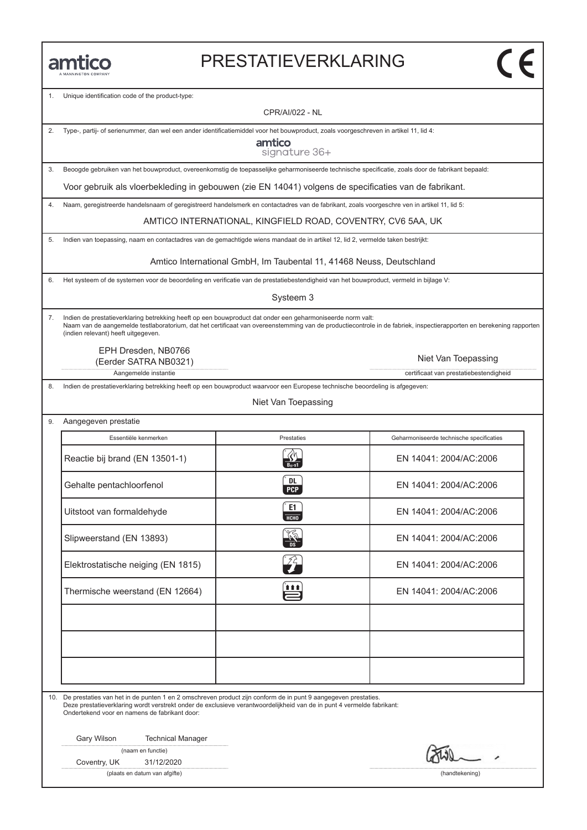#### PRESTATIEVERKLARING

Unique identification code of the product-type:

CPR/AI/022 - NL

2. Type-, partij- of serienummer, dan wel een ander identificatiemiddel voor het bouwproduct, zoals voorgeschreven in artikel 11, lid 4:

amtico signature 36+

3. Beoogde gebruiken van het bouwproduct, overeenkomstig de toepasselijke geharmoniseerde technische specificatie, zoals door de fabrikant bepaald:

Voor gebruik als vloerbekleding in gebouwen (zie EN 14041) volgens de specificaties van de fabrikant.

4. Naam, geregistreerde handelsnaam of geregistreerd handelsmerk en contactadres van de fabrikant, zoals voorgeschre ven in artikel 11, lid 5:

AMTICO INTERNATIONAL, KINGFIELD ROAD, COVENTRY, CV6 5AA, UK

5. Indien van toepassing, naam en contactadres van de gemachtigde wiens mandaat de in artikel 12, lid 2, vermelde taken bestrijkt:

Amtico International GmbH, Im Taubental 11, 41468 Neuss, Deutschland

6. Het systeem of de systemen voor de beoordeling en verificatie van de prestatiebestendigheid van het bouwproduct, vermeld in bijlage V:

Systeem 3

7. Indien de prestatieverklaring betrekking heeft op een bouwproduct dat onder een geharmoniseerde norm valt: Naam van de aangemelde testlaboratorium, dat het certificaat van overeenstemming van de productiecontrole in de fabriek, inspectierapporten en berekening rapporten (indien relevant) heeft uitgegeven.

EPH Dresden, NB0766 (Eerder SATRA NB0321)

Aangemelde instantie certificaat van prestatiebestendigheid

8. Indien de prestatieverklaring betrekking heeft op een bouwproduct waarvoor een Europese technische beoordeling is afgegeven:

#### Niet Van Toepassing

9. Aangegeven prestatie

| Essentiële kenmerken               | Prestaties        | Geharmoniseerde technische specificaties |
|------------------------------------|-------------------|------------------------------------------|
| Reactie bij brand (EN 13501-1)     |                   | EN 14041: 2004/AC:2006                   |
| Gehalte pentachloorfenol           | DL.<br><b>PCP</b> | EN 14041: 2004/AC:2006                   |
| Uitstoot van formaldehyde          | E1<br>HT          | EN 14041: 2004/AC:2006                   |
| Slipweerstand (EN 13893)           |                   | EN 14041: 2004/AC:2006                   |
| Elektrostatische neiging (EN 1815) | ŹÈ                | EN 14041: 2004/AC:2006                   |
| Thermische weerstand (EN 12664)    | î î î             | EN 14041: 2004/AC:2006                   |
|                                    |                   |                                          |
|                                    |                   |                                          |
|                                    |                   |                                          |

10. De prestaties van het in de punten 1 en 2 omschreven product zijn conform de in punt 9 aangegeven prestaties. Deze prestatieverklaring wordt verstrekt onder de exclusieve verantwoordelijkheid van de in punt 4 vermelde fabrikant: Ondertekend voor en namens de fabrikant door:

Gary Wilson Technical Manager

|  |  | (naam en functie) |
|--|--|-------------------|
|--|--|-------------------|

Coventry, UK 31/12/2020

(plaats en datum van afgifte) (handtekening)

Niet Van Toepassing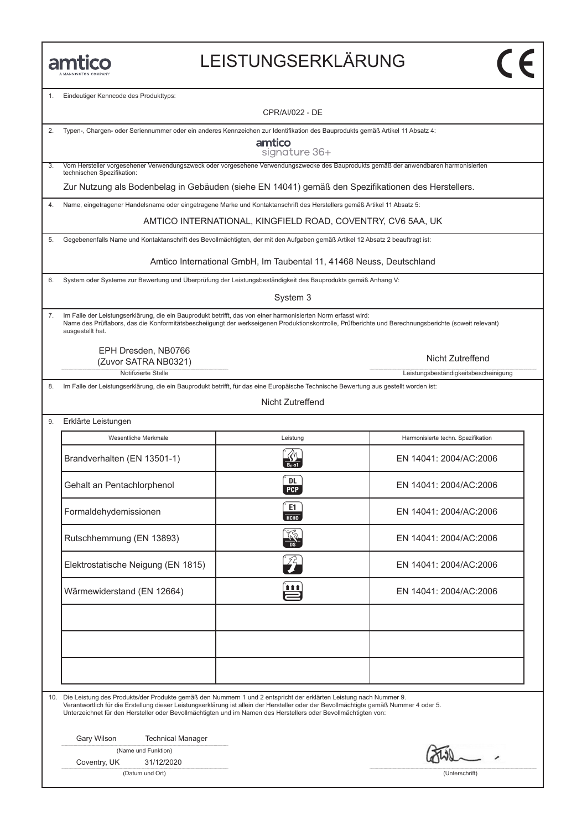# LEISTUNGSERKLÄRUNG

| 1. | Eindeutiger Kenncode des Produkttyps:                                                                                                                                                                                                                                                                                                                                            |                                                                      |                                      |  |
|----|----------------------------------------------------------------------------------------------------------------------------------------------------------------------------------------------------------------------------------------------------------------------------------------------------------------------------------------------------------------------------------|----------------------------------------------------------------------|--------------------------------------|--|
|    |                                                                                                                                                                                                                                                                                                                                                                                  | CPR/AI/022 - DE                                                      |                                      |  |
| 2. | Typen-, Chargen- oder Seriennummer oder ein anderes Kennzeichen zur Identifikation des Bauprodukts gemäß Artikel 11 Absatz 4:<br>amtico<br>signature 36+                                                                                                                                                                                                                         |                                                                      |                                      |  |
| 3. | Vom Hersteller vorgesehener Verwendungszweck oder vorgesehene Verwendungszwecke des Bauprodukts gemäß der anwendbaren harmonisierten<br>technischen Spezifikation:                                                                                                                                                                                                               |                                                                      |                                      |  |
|    | Zur Nutzung als Bodenbelag in Gebäuden (siehe EN 14041) gemäß den Spezifikationen des Herstellers.                                                                                                                                                                                                                                                                               |                                                                      |                                      |  |
| 4. | Name, eingetragener Handelsname oder eingetragene Marke und Kontaktanschrift des Herstellers gemäß Artikel 11 Absatz 5:                                                                                                                                                                                                                                                          |                                                                      |                                      |  |
|    |                                                                                                                                                                                                                                                                                                                                                                                  | AMTICO INTERNATIONAL, KINGFIELD ROAD, COVENTRY, CV6 5AA, UK          |                                      |  |
| 5. | Gegebenenfalls Name und Kontaktanschrift des Bevollmächtigten, der mit den Aufgaben gemäß Artikel 12 Absatz 2 beauftragt ist:                                                                                                                                                                                                                                                    |                                                                      |                                      |  |
|    |                                                                                                                                                                                                                                                                                                                                                                                  | Amtico International GmbH, Im Taubental 11, 41468 Neuss, Deutschland |                                      |  |
| 6. | System oder Systeme zur Bewertung und Überprüfung der Leistungsbeständigkeit des Bauprodukts gemäß Anhang V:                                                                                                                                                                                                                                                                     |                                                                      |                                      |  |
|    |                                                                                                                                                                                                                                                                                                                                                                                  | System 3                                                             |                                      |  |
| 7. | Im Falle der Leistungserklärung, die ein Bauprodukt betrifft, das von einer harmonisierten Norm erfasst wird:<br>Name des Prüflabors, das die Konformitätsbescheiigungt der werkseigenen Produktionskontrolle, Prüfberichte und Berechnungsberichte (soweit relevant)<br>ausgestellt hat.                                                                                        |                                                                      |                                      |  |
|    | EPH Dresden, NB0766<br>(Zuvor SATRA NB0321)                                                                                                                                                                                                                                                                                                                                      |                                                                      | Nicht Zutreffend                     |  |
|    | Notifizierte Stelle                                                                                                                                                                                                                                                                                                                                                              |                                                                      | Leistungsbeständigkeitsbescheinigung |  |
| 8. | Im Falle der Leistungserklärung, die ein Bauprodukt betrifft, für das eine Europäische Technische Bewertung aus gestellt worden ist:                                                                                                                                                                                                                                             |                                                                      |                                      |  |
|    |                                                                                                                                                                                                                                                                                                                                                                                  | Nicht Zutreffend                                                     |                                      |  |
| 9. | Erklärte Leistungen                                                                                                                                                                                                                                                                                                                                                              |                                                                      |                                      |  |
|    | Wesentliche Merkmale                                                                                                                                                                                                                                                                                                                                                             | Leistung                                                             | Harmonisierte techn. Spezifikation   |  |
|    | Brandverhalten (EN 13501-1)                                                                                                                                                                                                                                                                                                                                                      |                                                                      | EN 14041: 2004/AC:2006               |  |
|    | Gehalt an Pentachlorphenol                                                                                                                                                                                                                                                                                                                                                       | DL<br><b>PCP</b>                                                     | EN 14041: 2004/AC:2006               |  |
|    | Formaldehydemissionen                                                                                                                                                                                                                                                                                                                                                            | E1<br>НСНО                                                           | EN 14041: 2004/AC:2006               |  |
|    | Rutschhemmung (EN 13893)                                                                                                                                                                                                                                                                                                                                                         | °%<br><b>DS</b>                                                      | EN 14041: 2004/AC:2006               |  |
|    | Elektrostatische Neigung (EN 1815)                                                                                                                                                                                                                                                                                                                                               | ŹŻ,                                                                  | EN 14041: 2004/AC:2006               |  |
|    | Wärmewiderstand (EN 12664)                                                                                                                                                                                                                                                                                                                                                       | 自自自                                                                  | EN 14041: 2004/AC:2006               |  |
|    |                                                                                                                                                                                                                                                                                                                                                                                  |                                                                      |                                      |  |
|    |                                                                                                                                                                                                                                                                                                                                                                                  |                                                                      |                                      |  |
|    |                                                                                                                                                                                                                                                                                                                                                                                  |                                                                      |                                      |  |
|    |                                                                                                                                                                                                                                                                                                                                                                                  |                                                                      |                                      |  |
|    | 10. Die Leistung des Produkts/der Produkte gemäß den Nummern 1 und 2 entspricht der erklärten Leistung nach Nummer 9.<br>Verantwortlich für die Erstellung dieser Leistungserklärung ist allein der Hersteller oder der Bevollmächtigte gemäß Nummer 4 oder 5.<br>Unterzeichnet für den Hersteller oder Bevollmächtigten und im Namen des Herstellers oder Bevollmächtigten von: |                                                                      |                                      |  |
|    | Gary Wilson<br><b>Technical Manager</b>                                                                                                                                                                                                                                                                                                                                          |                                                                      |                                      |  |
|    | (Name und Funktion)<br>31/12/2020<br>Coventry, UK                                                                                                                                                                                                                                                                                                                                |                                                                      |                                      |  |
|    | (Datum und Ort)                                                                                                                                                                                                                                                                                                                                                                  |                                                                      | (Unterschrift)                       |  |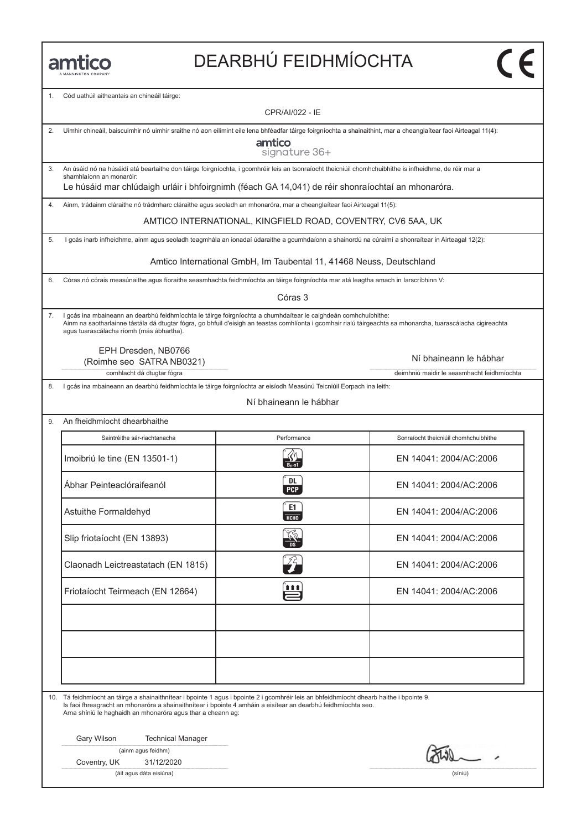# DEARBHÚ FEIDHMÍOCHTA

1. Cód uathúil aitheantais an chineáil táirge:

CPR/AI/022 - IE

| 2. | Uimhir chineáil, baiscuimhir nó uimhir sraithe nó aon eilimint eile lena bhféadfar táirge foirgníochta a shainaithint, mar a cheanglaítear faoi Airteagal 11(4):                                                                                                                                                             |                                                                                                                                                  |                                            |  |  |
|----|------------------------------------------------------------------------------------------------------------------------------------------------------------------------------------------------------------------------------------------------------------------------------------------------------------------------------|--------------------------------------------------------------------------------------------------------------------------------------------------|--------------------------------------------|--|--|
|    | amtico<br>signature 36+                                                                                                                                                                                                                                                                                                      |                                                                                                                                                  |                                            |  |  |
| 3. | An úsáid nó na húsáidí atá beartaithe don táirge foirgníochta, i gcomhréir leis an tsonraíocht theicniúil chomhchuibhithe is infheidhme, de réir mar a                                                                                                                                                                       |                                                                                                                                                  |                                            |  |  |
|    | shamhlaíonn an monaróir:<br>Le húsáid mar chlúdaigh urláir i bhfoirgnimh (féach GA 14,041) de réir shonraíochtaí an mhonaróra.                                                                                                                                                                                               |                                                                                                                                                  |                                            |  |  |
| 4. | Ainm, trádainm cláraithe nó trádmharc cláraithe agus seoladh an mhonaróra, mar a cheanglaítear faoi Airteagal 11(5):                                                                                                                                                                                                         |                                                                                                                                                  |                                            |  |  |
|    |                                                                                                                                                                                                                                                                                                                              | AMTICO INTERNATIONAL, KINGFIELD ROAD, COVENTRY, CV6 5AA, UK                                                                                      |                                            |  |  |
|    |                                                                                                                                                                                                                                                                                                                              |                                                                                                                                                  |                                            |  |  |
| 5. |                                                                                                                                                                                                                                                                                                                              | I gcás inarb infheidhme, ainm agus seoladh teagmhála an ionadaí údaraithe a gcumhdaíonn a shainordú na cúraimí a shonraítear in Airteagal 12(2): |                                            |  |  |
|    |                                                                                                                                                                                                                                                                                                                              | Amtico International GmbH, Im Taubental 11, 41468 Neuss, Deutschland                                                                             |                                            |  |  |
| 6. | Córas nó córais measúnaithe agus fíoraithe seasmhachta feidhmíochta an táirge foirgníochta mar atá leagtha amach in Iarscríbhinn V:                                                                                                                                                                                          |                                                                                                                                                  |                                            |  |  |
|    |                                                                                                                                                                                                                                                                                                                              | Córas 3                                                                                                                                          |                                            |  |  |
| 7. | I gcás ina mbaineann an dearbhú feidhmíochta le táirge foirgníochta a chumhdaítear le caighdeán comhchuibhithe:<br>Ainm na saotharlainne tástála dá dtugtar fógra, go bhfuil d'eisigh an teastas comhlíonta i gcomhair rialú táirgeachta sa mhonarcha, tuarascálacha cigireachta<br>agus tuarascálacha ríomh (más ábhartha). |                                                                                                                                                  |                                            |  |  |
|    | EPH Dresden, NB0766                                                                                                                                                                                                                                                                                                          |                                                                                                                                                  | Ní bhaineann le hábhar                     |  |  |
|    | (Roimhe seo SATRA NB0321)<br>comhlacht dá dtugtar fógra                                                                                                                                                                                                                                                                      |                                                                                                                                                  | deimhniú maidir le seasmhacht feidhmíochta |  |  |
| 8. | I gcás ina mbaineann an dearbhú feidhmíochta le táirge foirgníochta ar eisíodh Measúnú Teicniúil Eorpach ina leith:                                                                                                                                                                                                          |                                                                                                                                                  |                                            |  |  |
|    |                                                                                                                                                                                                                                                                                                                              | Ní bhaineann le hábhar                                                                                                                           |                                            |  |  |
| 9. | An fheidhmíocht dhearbhaithe                                                                                                                                                                                                                                                                                                 |                                                                                                                                                  |                                            |  |  |
|    |                                                                                                                                                                                                                                                                                                                              |                                                                                                                                                  |                                            |  |  |
|    | Saintréithe sár-riachtanacha                                                                                                                                                                                                                                                                                                 | Performance                                                                                                                                      | Sonraíocht theicniúil chomhchuibhithe      |  |  |
|    | Imoibriú le tine (EN 13501-1)                                                                                                                                                                                                                                                                                                | $B_{11}$ -s1                                                                                                                                     | EN 14041: 2004/AC:2006                     |  |  |
|    | Ábhar Peinteaclóraifeanól                                                                                                                                                                                                                                                                                                    | DL<br><b>PCP</b>                                                                                                                                 | EN 14041: 2004/AC:2006                     |  |  |
|    | Astuithe Formaldehyd                                                                                                                                                                                                                                                                                                         | E1<br>НСНО                                                                                                                                       | EN 14041: 2004/AC:2006                     |  |  |
|    | Slip friotaíocht (EN 13893)                                                                                                                                                                                                                                                                                                  |                                                                                                                                                  | EN 14041: 2004/AC:2006                     |  |  |
|    | Claonadh Leictreastatach (EN 1815)                                                                                                                                                                                                                                                                                           |                                                                                                                                                  | EN 14041: 2004/AC:2006                     |  |  |
|    | Friotaíocht Teirmeach (EN 12664)                                                                                                                                                                                                                                                                                             | 自自自                                                                                                                                              | EN 14041: 2004/AC:2006                     |  |  |
|    |                                                                                                                                                                                                                                                                                                                              |                                                                                                                                                  |                                            |  |  |
|    |                                                                                                                                                                                                                                                                                                                              |                                                                                                                                                  |                                            |  |  |
|    |                                                                                                                                                                                                                                                                                                                              |                                                                                                                                                  |                                            |  |  |
|    |                                                                                                                                                                                                                                                                                                                              |                                                                                                                                                  |                                            |  |  |
|    | 10. Tá feidhmíocht an táirge a shainaithnítear i bpointe 1 agus i bpointe 2 i gcomhréir leis an bhfeidhmíocht dhearb haithe i bpointe 9.<br>Is faoi fhreagracht an mhonaróra a shainaithnítear i bpointe 4 amháin a eisítear an dearbhú feidhmíochta seo.<br>Arna shíniú le haghaidh an mhonaróra agus thar a cheann ag:     |                                                                                                                                                  |                                            |  |  |
|    | Gary Wilson<br><b>Technical Manager</b>                                                                                                                                                                                                                                                                                      |                                                                                                                                                  |                                            |  |  |
|    | (ainm agus feidhm)                                                                                                                                                                                                                                                                                                           |                                                                                                                                                  |                                            |  |  |
|    | Coventry, UK<br>31/12/2020                                                                                                                                                                                                                                                                                                   |                                                                                                                                                  |                                            |  |  |
|    | (áit agus dáta eisiúna)<br>(síniú)                                                                                                                                                                                                                                                                                           |                                                                                                                                                  |                                            |  |  |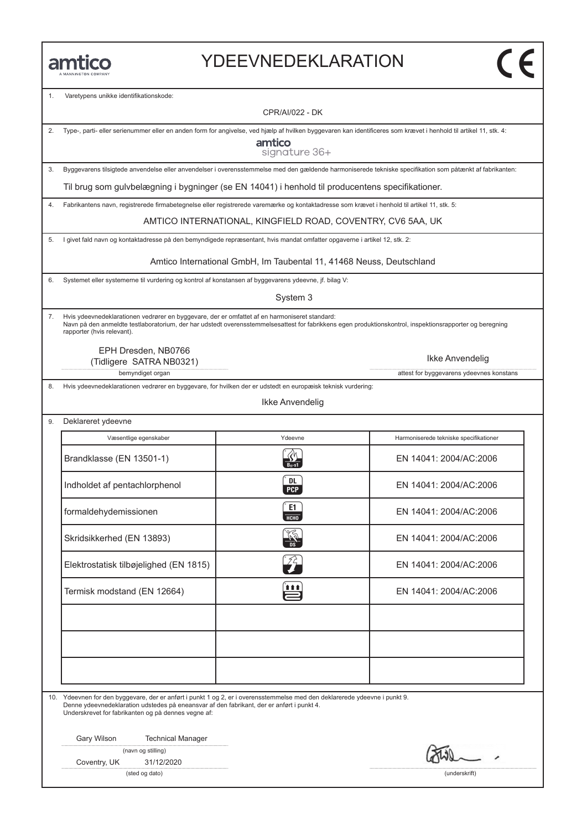#### YDEEVNEDEKLARATION

| 1. | Varetypens unikke identifikationskode:<br>CPR/AI/022 - DK                                                                                                                                                                                                                               |                                                                      |                                          |  |
|----|-----------------------------------------------------------------------------------------------------------------------------------------------------------------------------------------------------------------------------------------------------------------------------------------|----------------------------------------------------------------------|------------------------------------------|--|
|    |                                                                                                                                                                                                                                                                                         |                                                                      |                                          |  |
| 2. | Type-, parti- eller serienummer eller en anden form for angivelse, ved hjælp af hvilken byggevaren kan identificeres som krævet i henhold til artikel 11, stk. 4:<br>amtico<br>signature 36+                                                                                            |                                                                      |                                          |  |
| 3. | Byggevarens tilsigtede anvendelse eller anvendelser i overensstemmelse med den gældende harmoniserede tekniske specifikation som påtænkt af fabrikanten:                                                                                                                                |                                                                      |                                          |  |
|    | Til brug som gulvbelægning i bygninger (se EN 14041) i henhold til producentens specifikationer.                                                                                                                                                                                        |                                                                      |                                          |  |
| 4. | Fabrikantens navn, registrerede firmabetegnelse eller registrerede varemærke og kontaktadresse som krævet i henhold til artikel 11, stk. 5:                                                                                                                                             |                                                                      |                                          |  |
|    |                                                                                                                                                                                                                                                                                         | AMTICO INTERNATIONAL, KINGFIELD ROAD, COVENTRY, CV6 5AA, UK          |                                          |  |
| 5. | I givet fald navn og kontaktadresse på den bemyndigede repræsentant, hvis mandat omfatter opgaverne i artikel 12, stk. 2:                                                                                                                                                               |                                                                      |                                          |  |
|    |                                                                                                                                                                                                                                                                                         | Amtico International GmbH, Im Taubental 11, 41468 Neuss, Deutschland |                                          |  |
| 6. | Systemet eller systemerne til vurdering og kontrol af konstansen af byggevarens ydeevne, jf. bilag V:                                                                                                                                                                                   |                                                                      |                                          |  |
|    |                                                                                                                                                                                                                                                                                         | System 3                                                             |                                          |  |
| 7. | Hvis ydeevnedeklarationen vedrører en byggevare, der er omfattet af en harmoniseret standard:<br>Navn på den anmeldte testlaboratorium, der har udstedt overensstemmelsesattest for fabrikkens egen produktionskontrol, inspektionsrapporter og beregning<br>rapporter (hvis relevant). |                                                                      |                                          |  |
|    | EPH Dresden, NB0766<br>(Tidligere SATRA NB0321)                                                                                                                                                                                                                                         |                                                                      | Ikke Anvendelig                          |  |
|    | bemyndiget organ                                                                                                                                                                                                                                                                        |                                                                      | attest for byggevarens ydeevnes konstans |  |
| 8. | Hvis ydeevnedeklarationen vedrører en byggevare, for hvilken der er udstedt en europæisk teknisk vurdering:                                                                                                                                                                             | Ikke Anvendelig                                                      |                                          |  |
| 9. | Deklareret ydeevne                                                                                                                                                                                                                                                                      |                                                                      |                                          |  |
|    | Væsentlige egenskaber                                                                                                                                                                                                                                                                   | Ydeevne                                                              | Harmoniserede tekniske specifikationer   |  |
|    | Brandklasse (EN 13501-1)                                                                                                                                                                                                                                                                | $B_{11}$ -s1                                                         | EN 14041: 2004/AC:2006                   |  |
|    | Indholdet af pentachlorphenol                                                                                                                                                                                                                                                           | DL<br><b>PCP</b>                                                     | EN 14041: 2004/AC:2006                   |  |
|    | formaldehydemissionen                                                                                                                                                                                                                                                                   | E1.<br><b>HCHO</b>                                                   | EN 14041: 2004/AC:2006                   |  |
|    | Skridsikkerhed (EN 13893)                                                                                                                                                                                                                                                               |                                                                      | EN 14041: 2004/AC:2006                   |  |
|    | Elektrostatisk tilbøjelighed (EN 1815)                                                                                                                                                                                                                                                  |                                                                      | EN 14041: 2004/AC:2006                   |  |
|    | Termisk modstand (EN 12664)                                                                                                                                                                                                                                                             | 111                                                                  | EN 14041: 2004/AC:2006                   |  |
|    |                                                                                                                                                                                                                                                                                         |                                                                      |                                          |  |
|    | 10. Ydeevnen for den byggevare, der er anført i punkt 1 og 2, er i overensstemmelse med den deklarerede ydeevne i punkt 9.<br>Denne ydeevnedeklaration udstedes på eneansvar af den fabrikant, der er anført i punkt 4.<br>Underskrevet for fabrikanten og på dennes vegne af:          |                                                                      |                                          |  |
|    | Gary Wilson<br><b>Technical Manager</b><br>(navn og stilling)                                                                                                                                                                                                                           |                                                                      |                                          |  |
|    | Coventry, UK<br>31/12/2020                                                                                                                                                                                                                                                              |                                                                      |                                          |  |
|    | (sted og dato)                                                                                                                                                                                                                                                                          |                                                                      | (underskrift)                            |  |
|    |                                                                                                                                                                                                                                                                                         |                                                                      |                                          |  |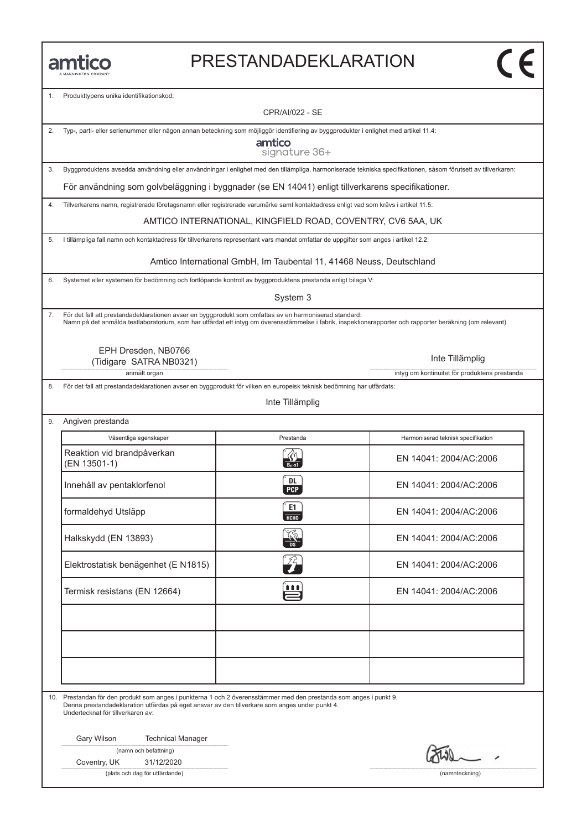#### PRESTANDADEKLARATION

Produkttypens unika identifikationskod:

CPR/AI/022 - SE

|  |  | 2. Typ-, parti- eller serienummer eller någon annan beteckning som möjliggör identifiering av byggprodukter i enlighet med artikel 11.4: |
|--|--|------------------------------------------------------------------------------------------------------------------------------------------|
|  |  |                                                                                                                                          |
|  |  |                                                                                                                                          |

amtico signature 36+

3. Byggproduktens avsedda användning eller användningar i enlighet med den tillämpliga, harmoniserade tekniska specifikationen, såsom förutsett av tillverkaren:

För användning som golvbeläggning i byggnader (se EN 14041) enligt tillverkarens specifikationer.

4. Tillverkarens namn, registrerade företagsnamn eller registrerade varumärke samt kontaktadress enligt vad som krävs i artikel 11.5:

AMTICO INTERNATIONAL, KINGFIELD ROAD, COVENTRY, CV6 5AA, UK

5. I tillämpliga fall namn och kontaktadress för tillverkarens representant vars mandat omfattar de uppgifter som anges i artikel 12.2:

Amtico International GmbH, Im Taubental 11, 41468 Neuss, Deutschland

6. Systemet eller systemen för bedömning och fortlöpande kontroll av byggproduktens prestanda enligt bilaga V:

System 3

7. För det fall att prestandadeklarationen avser en byggprodukt som omfattas av en harmoniserad standard: Namn på det anmälda testlaboratorium, som har utfärdat ett intyg om överensstämmelse i fabrik, inspektionsrapporter och rapporter beräkning (om relevant).

EPH Dresden, NB0766 (Tidigare SATRA NB0321)

anmält organ intyg om kontinuitet för produktens prestanda

8. För det fall att prestandadeklarationen avser en byggprodukt för vilken en europeisk teknisk bedömning har utfärdats:

Inte Tillämplig

| Angiven prestanda                          |                       |                                    |  |
|--------------------------------------------|-----------------------|------------------------------------|--|
| Väsentliga egenskaper                      | Prestanda             | Harmoniserad teknisk specifikation |  |
| Reaktion vid brandpåverkan<br>(EN 13501-1) |                       | EN 14041: 2004/AC:2006             |  |
| Innehåll av pentaklorfenol                 | DL<br><b>PCP</b>      | EN 14041: 2004/AC:2006             |  |
| formaldehyd Utsläpp                        | E1<br>НСНО            | EN 14041: 2004/AC:2006             |  |
| Halkskydd (EN 13893)                       | $\frac{\sqrt{2}}{2a}$ | EN 14041: 2004/AC:2006             |  |
| Elektrostatisk benägenhet (E N1815)        | ŹÈ                    | EN 14041: 2004/AC:2006             |  |
| Termisk resistans (EN 12664)               | t t t                 | EN 14041: 2004/AC:2006             |  |
|                                            |                       |                                    |  |
|                                            |                       |                                    |  |
|                                            |                       |                                    |  |

10. Prestandan för den produkt som anges i punkterna 1 och 2 överensstämmer med den prestanda som anges i punkt 9. Denna prestandadeklaration utfärdas på eget ansvar av den tillverkare som anges under punkt 4. Undertecknat för tillverkaren av:

Gary Wilson Technical Manager

(namn och befattning)

Coventry, UK 31/12/2020

(plats och dag för utfärdande) (namnteckning)

Inte Tillämplig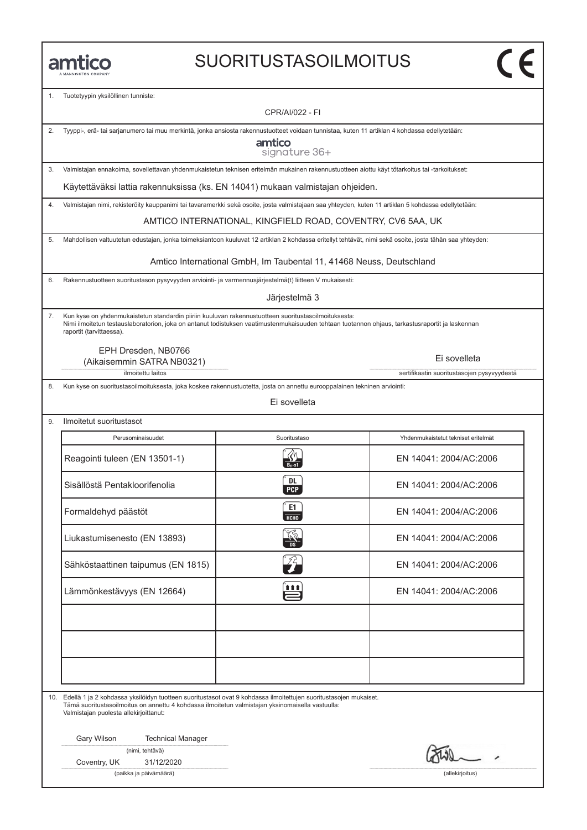#### SUORITUSTASOILMOITUS

1. Tuotetyypin yksilöllinen tunniste:

CPR/AI/022 - FI

|  | 2. Tyyppi-, erä- tai sarjanumero tai muu merkintä, jonka ansiosta rakennustuotteet voidaan tunnistaa, kuten 11 artiklan 4 kohdassa edellytetään: |  |
|--|--------------------------------------------------------------------------------------------------------------------------------------------------|--|

amtico signature 36+

3. Valmistajan ennakoima, sovellettavan yhdenmukaistetun teknisen eritelmän mukainen rakennustuotteen aiottu käyt tötarkoitus tai -tarkoitukset:

Käytettäväksi lattia rakennuksissa (ks. EN 14041) mukaan valmistajan ohjeiden.

4. Valmistajan nimi, rekisteröity kauppanimi tai tavaramerkki sekä osoite, josta valmistajaan saa yhteyden, kuten 11 artiklan 5 kohdassa edellytetään:

AMTICO INTERNATIONAL, KINGFIELD ROAD, COVENTRY, CV6 5AA, UK

5. Mahdollisen valtuutetun edustajan, jonka toimeksiantoon kuuluvat 12 artiklan 2 kohdassa eritellyt tehtävät, nimi sekä osoite, josta tähän saa yhteyden:

Amtico International GmbH, Im Taubental 11, 41468 Neuss, Deutschland

6. Rakennustuotteen suoritustason pysyvyyden arviointi- ja varmennusjärjestelmä(t) liitteen V mukaisesti:

Järjestelmä 3

7. Kun kyse on yhdenmukaistetun standardin piiriin kuuluvan rakennustuotteen suoritustasoilmoituksesta: Nimi ilmoitetun testauslaboratorion, joka on antanut todistuksen vaatimustenmukaisuuden tehtaan tuotannon ohjaus, tarkastusraportit ja laskennan raportit (tarvittaessa).

EPH Dresden, NB0766 (Aikaisemmin SATRA NB0321)

ilmoitettu laitos sertifikaatin suoritustasojen pysyvyydestä

8. Kun kyse on suoritustasoilmoituksesta, joka koskee rakennustuotetta, josta on annettu eurooppalainen tekninen arviointi:

Ei sovelleta

| Ilmoitetut suoritustasot           |                         |                                     |
|------------------------------------|-------------------------|-------------------------------------|
| Perusominaisuudet                  | Suoritustaso            | Yhdenmukaistetut tekniset eritelmät |
| Reagointi tuleen (EN 13501-1)      |                         | EN 14041: 2004/AC:2006              |
| Sisällöstä Pentakloorifenolia      | <b>DL</b><br><b>PCP</b> | EN 14041: 2004/AC:2006              |
| Formaldehyd päästöt                | E1<br><b>HCHO</b>       | EN 14041: 2004/AC:2006              |
| Liukastumisenesto (EN 13893)       | $\frac{1}{\sqrt{2}}$    | EN 14041: 2004/AC:2006              |
| Sähköstaattinen taipumus (EN 1815) |                         | EN 14041: 2004/AC:2006              |
| Lämmönkestävyys (EN 12664)         | <u>î î î î</u>          | EN 14041: 2004/AC:2006              |
|                                    |                         |                                     |
|                                    |                         |                                     |
|                                    |                         |                                     |

10. Edellä 1 ja 2 kohdassa yksilöidyn tuotteen suoritustasot ovat 9 kohdassa ilmoitettujen suoritustasojen mukaiset. Tämä suoritustasoilmoitus on annettu 4 kohdassa ilmoitetun valmistajan yksinomaisella vastuulla: Valmistajan puolesta allekirjoittanut:

Gary Wilson Technical Manager

|  | (nimi, tehtävä) |
|--|-----------------|
|  |                 |

Coventry, UK 31/12/2020

(paikka ja päivämäärä) (allekirjoitus)

Ei sovelleta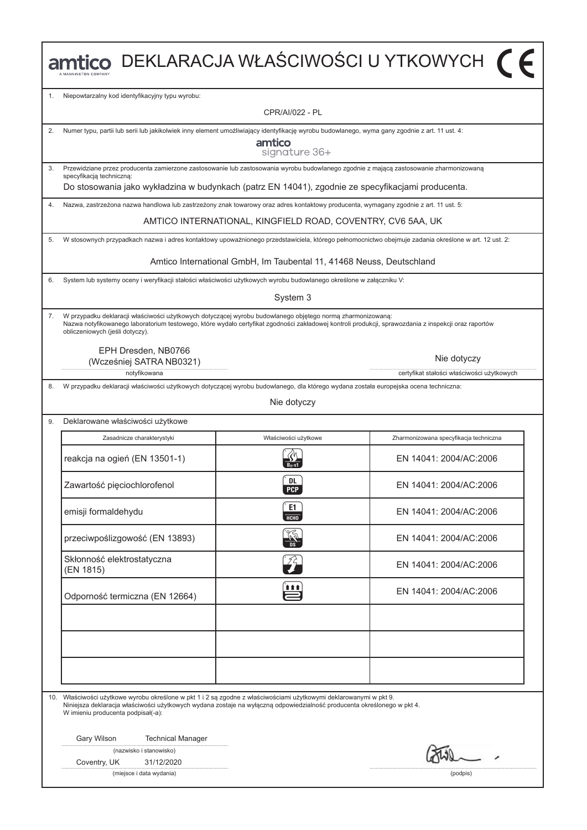|     | mtico DEKLARACJA WŁAŚCIWOŚCI U YTKOWYCH (F                                                                                                                                                                                                                                                            |                                                                      |                                                                                                                                                      |  |  |
|-----|-------------------------------------------------------------------------------------------------------------------------------------------------------------------------------------------------------------------------------------------------------------------------------------------------------|----------------------------------------------------------------------|------------------------------------------------------------------------------------------------------------------------------------------------------|--|--|
| 1.  | Niepowtarzalny kod identyfikacyjny typu wyrobu:                                                                                                                                                                                                                                                       |                                                                      |                                                                                                                                                      |  |  |
|     |                                                                                                                                                                                                                                                                                                       | CPR/AI/022 - PL                                                      |                                                                                                                                                      |  |  |
| 2.  | Numer typu, partii lub serii lub jakikolwiek inny element umożliwiający identyfikację wyrobu budowlanego, wyma gany zgodnie z art. 11 ust. 4:                                                                                                                                                         |                                                                      |                                                                                                                                                      |  |  |
|     |                                                                                                                                                                                                                                                                                                       | amtico<br>signature 36+                                              |                                                                                                                                                      |  |  |
| 3.  | Przewidziane przez producenta zamierzone zastosowanie lub zastosowania wyrobu budowlanego zgodnie z mającą zastosowanie zharmonizowaną<br>specyfikacją techniczną:                                                                                                                                    |                                                                      |                                                                                                                                                      |  |  |
|     | Do stosowania jako wykładzina w budynkach (patrz EN 14041), zgodnie ze specyfikacjami producenta.                                                                                                                                                                                                     |                                                                      |                                                                                                                                                      |  |  |
| 4.  | Nazwa, zastrzeżona nazwa handlowa lub zastrzeżony znak towarowy oraz adres kontaktowy producenta, wymagany zgodnie z art. 11 ust. 5:                                                                                                                                                                  |                                                                      |                                                                                                                                                      |  |  |
|     |                                                                                                                                                                                                                                                                                                       | AMTICO INTERNATIONAL, KINGFIELD ROAD, COVENTRY, CV6 5AA, UK          |                                                                                                                                                      |  |  |
| 5.  |                                                                                                                                                                                                                                                                                                       |                                                                      | W stosownych przypadkach nazwa i adres kontaktowy upoważnionego przedstawiciela, którego pełnomocnictwo obejmuje zadania określone w art. 12 ust. 2: |  |  |
|     |                                                                                                                                                                                                                                                                                                       | Amtico International GmbH, Im Taubental 11, 41468 Neuss, Deutschland |                                                                                                                                                      |  |  |
| 6.  | System lub systemy oceny i weryfikacji stałości właściwości użytkowych wyrobu budowlanego określone w załączniku V:                                                                                                                                                                                   |                                                                      |                                                                                                                                                      |  |  |
|     |                                                                                                                                                                                                                                                                                                       | System 3                                                             |                                                                                                                                                      |  |  |
| 7.  | W przypadku deklaracji właściwości użytkowych dotyczącej wyrobu budowlanego objętego normą zharmonizowaną:<br>Nazwa notyfikowanego laboratorium testowego, które wydało certyfikat zgodności zakładowej kontroli produkcji, sprawozdania z inspekcji oraz raportów<br>obliczeniowych (jeśli dotyczy). |                                                                      |                                                                                                                                                      |  |  |
|     | EPH Dresden, NB0766<br>(Wcześniej SATRA NB0321)                                                                                                                                                                                                                                                       |                                                                      | Nie dotyczy                                                                                                                                          |  |  |
|     | notyfikowana                                                                                                                                                                                                                                                                                          |                                                                      | certyfikat stałości właściwości użytkowych                                                                                                           |  |  |
| 8.  | W przypadku deklaracji właściwości użytkowych dotyczącej wyrobu budowlanego, dla którego wydana została europejska ocena techniczna:                                                                                                                                                                  | Nie dotyczy                                                          |                                                                                                                                                      |  |  |
| 9.  | Deklarowane właściwości użytkowe                                                                                                                                                                                                                                                                      |                                                                      |                                                                                                                                                      |  |  |
|     | Zasadnicze charakterystyki                                                                                                                                                                                                                                                                            | Właściwości użytkowe                                                 | Zharmonizowana specyfikacja techniczna                                                                                                               |  |  |
|     | reakcja na ogień (EN 13501-1)                                                                                                                                                                                                                                                                         |                                                                      | EN 14041: 2004/AC:2006                                                                                                                               |  |  |
|     | Zawartość pięciochlorofenol                                                                                                                                                                                                                                                                           | DL<br><b>PCP</b>                                                     | EN 14041: 2004/AC:2006                                                                                                                               |  |  |
|     | emisji formaldehydu                                                                                                                                                                                                                                                                                   | E1<br>НСНО                                                           | EN 14041: 2004/AC:2006                                                                                                                               |  |  |
|     | przeciwpoślizgowość (EN 13893)                                                                                                                                                                                                                                                                        |                                                                      | EN 14041: 2004/AC:2006                                                                                                                               |  |  |
|     | Skłonność elektrostatyczna<br>(EN 1815)                                                                                                                                                                                                                                                               | $\widehat{P}_{\!\!\!T}$                                              | EN 14041: 2004/AC:2006                                                                                                                               |  |  |
|     | Odporność termiczna (EN 12664)                                                                                                                                                                                                                                                                        | 自自自                                                                  | EN 14041: 2004/AC:2006                                                                                                                               |  |  |
|     |                                                                                                                                                                                                                                                                                                       |                                                                      |                                                                                                                                                      |  |  |
| 10. | Właściwości użytkowe wyrobu określone w pkt 1 i 2 są zgodne z właściwościami użytkowymi deklarowanymi w pkt 9.<br>Niniejsza deklaracja właściwości użytkowych wydana zostaje na wyłączną odpowiedzialność producenta określonego w pkt 4.<br>W imieniu producenta podpisał(-a):                       |                                                                      |                                                                                                                                                      |  |  |
|     | Gary Wilson<br><b>Technical Manager</b>                                                                                                                                                                                                                                                               |                                                                      |                                                                                                                                                      |  |  |
|     | (nazwisko i stanowisko)                                                                                                                                                                                                                                                                               |                                                                      |                                                                                                                                                      |  |  |
|     | Coventry, UK<br>31/12/2020<br>(miejsce i data wydania)                                                                                                                                                                                                                                                |                                                                      | (podpis)                                                                                                                                             |  |  |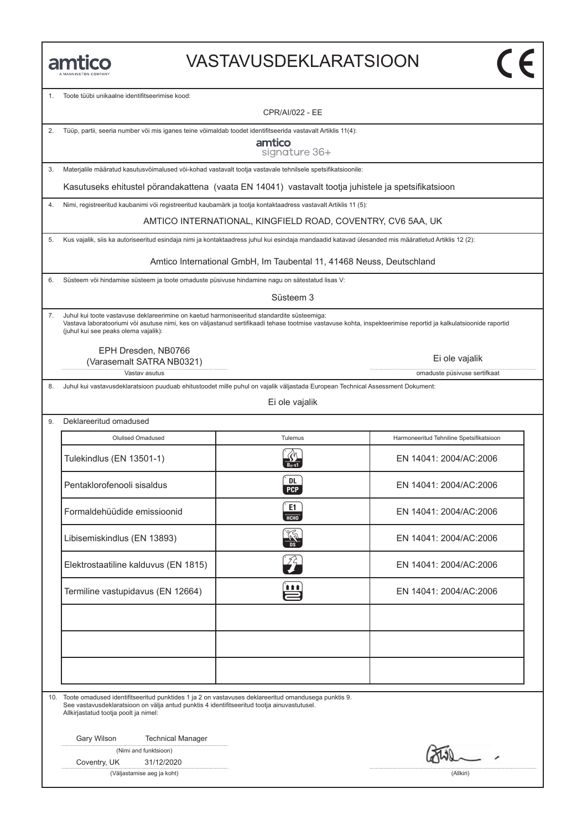#### VASTAVUSDEKLARATSIOON

1. Toote tüϋbi unikaalne identifitseerimise kood:

CPR/AI/022 - EE

|  |  |  | Tüüp, partii, seeria number või mis iganes teine võimaldab toodet identifitseerida vastavalt Artiklis 11(4): |  |
|--|--|--|--------------------------------------------------------------------------------------------------------------|--|
|--|--|--|--------------------------------------------------------------------------------------------------------------|--|

amtico signature 36+

3. Materjalile määratud kasutusvöimalused vöi-kohad vastavalt tootja vastavale tehnilsele spetsifikatsioonile:

Kasutuseks ehitustel pörandakattena (vaata EN 14041) vastavalt tootja juhistele ja spetsifikatsioon

4. Nimi, registreeritud kaubanimi vöi registreeritud kaubamärk ja tootja kontaktaadress vastavalt Artiklis 11 (5):

AMTICO INTERNATIONAL, KINGFIELD ROAD, COVENTRY, CV6 5AA, UK

5. Kus vajalik, siis ka autoriseeritud esindaja nimi ja kontaktaadress juhul kui esindaja mandaadid katavad ülesanded mis määratletud Artiklis 12 (2):

Amtico International GmbH, Im Taubental 11, 41468 Neuss, Deutschland

6. Süsteem vöi hindamise süsteem ja toote omaduste püsivuse hindamine nagu on sätestatud lisas V:

Süsteem 3

7. Juhul kui toote vastavuse deklareerimine on kaetud harmoniseeritud standardite süsteemiga: Vastava laboratooriumi vöi asutuse nimi, kes on väljastanud sertifikaadi tehase tootmise vastavuse kohta, inspekteerimise reportid ja kalkulatsioonide raportid (juhul kui see peaks olema vajalik):

EPH Dresden, NB0766 (Varasemalt SATRA NB0321)

Vastav asutus omaduste püsivuse sertifkaat

9. Deklareeritud omadused

8. Juhul kui vastavusdeklaratsioon puuduab ehitustoodet mille puhul on vajalik väljastada European Technical Assessment Dokument:

Ei ole vajalik

| Olulised Omadused                    | Tulemus           | Harmoneeritud Tehniline Spetsifikatsioon |
|--------------------------------------|-------------------|------------------------------------------|
| Tulekindlus (EN 13501-1)             |                   | EN 14041: 2004/AC:2006                   |
| Pentaklorofenooli sisaldus           | DL.<br><b>PCP</b> | EN 14041: 2004/AC:2006                   |
| Formaldehüüdide emissioonid          | E1<br>HT          | EN 14041: 2004/AC:2006                   |
| Libisemiskindlus (EN 13893)          |                   | EN 14041: 2004/AC:2006                   |
| Elektrostaatiline kalduvus (EN 1815) |                   | EN 14041: 2004/AC:2006                   |
| Termiline vastupidavus (EN 12664)    | i i i             | EN 14041: 2004/AC:2006                   |
|                                      |                   |                                          |
|                                      |                   |                                          |
|                                      |                   |                                          |

10. Toote omadused identifitseeritud punktides 1 ja 2 on vastavuses deklareeritud omandusega punktis 9. See vastavusdeklaratsioon on välja antud punktis 4 identifitseeritud tootja ainuvastutusel. Allkirjastatud tootja poolt ja nimel:

Gary Wilson Technical Manager

(Nimi and funktsioon)

Coventry, UK 31/12/2020

(Väljastamise aeg ja koht) (Allkiri)

Ei ole vajalik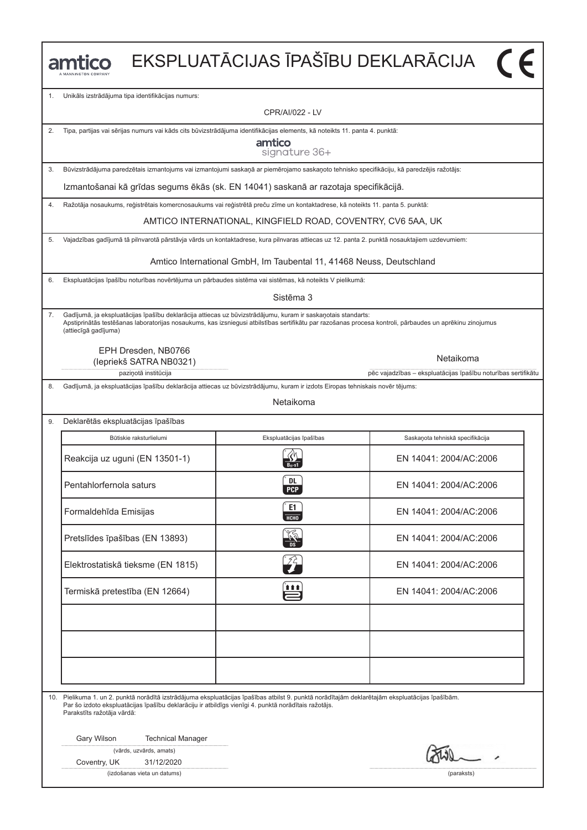| EKSPLUATĀCIJAS ĪPAŠĪBU DEKLARĀCIJA<br>mtico |                                                                                                                                                                                                                                                                                       |                                                                                                                                                                                                                                                                          |                                                                            |  |
|---------------------------------------------|---------------------------------------------------------------------------------------------------------------------------------------------------------------------------------------------------------------------------------------------------------------------------------------|--------------------------------------------------------------------------------------------------------------------------------------------------------------------------------------------------------------------------------------------------------------------------|----------------------------------------------------------------------------|--|
| 1.                                          | Unikāls izstrādājuma tipa identifikācijas numurs:                                                                                                                                                                                                                                     |                                                                                                                                                                                                                                                                          |                                                                            |  |
|                                             |                                                                                                                                                                                                                                                                                       | CPR/AI/022 - LV                                                                                                                                                                                                                                                          |                                                                            |  |
| 2.                                          |                                                                                                                                                                                                                                                                                       | Tipa, partijas vai sērijas numurs vai kāds cits būvizstrādājuma identifikācijas elements, kā noteikts 11. panta 4. punktā:                                                                                                                                               |                                                                            |  |
|                                             |                                                                                                                                                                                                                                                                                       | amtico<br>signature 36+                                                                                                                                                                                                                                                  |                                                                            |  |
| 3.                                          |                                                                                                                                                                                                                                                                                       | Būvizstrādājuma paredzētais izmantojums vai izmantojumi saskaņā ar piemērojamo saskaņoto tehnisko specifikāciju, kā paredzējis ražotājs:                                                                                                                                 |                                                                            |  |
|                                             |                                                                                                                                                                                                                                                                                       | Izmantošanai kā grīdas segums ēkās (sk. EN 14041) saskanā ar razotaja specifikācijā.                                                                                                                                                                                     |                                                                            |  |
| 4.                                          |                                                                                                                                                                                                                                                                                       | Ražotāja nosaukums, reģistrētais komercnosaukums vai reģistrētā preču zīme un kontaktadrese, kā noteikts 11. panta 5. punktā:                                                                                                                                            |                                                                            |  |
|                                             |                                                                                                                                                                                                                                                                                       | AMTICO INTERNATIONAL, KINGFIELD ROAD, COVENTRY, CV6 5AA, UK                                                                                                                                                                                                              |                                                                            |  |
| 5.                                          |                                                                                                                                                                                                                                                                                       | Vajadzības gadījumā tā pilnvarotā pārstāvja vārds un kontaktadrese, kura pilnvaras attiecas uz 12. panta 2. punktā nosauktajiem uzdevumiem:                                                                                                                              |                                                                            |  |
|                                             |                                                                                                                                                                                                                                                                                       | Amtico International GmbH, Im Taubental 11, 41468 Neuss, Deutschland                                                                                                                                                                                                     |                                                                            |  |
| 6.                                          | Ekspluatācijas īpašību noturības novērtējuma un pārbaudes sistēma vai sistēmas, kā noteikts V pielikumā:                                                                                                                                                                              |                                                                                                                                                                                                                                                                          |                                                                            |  |
|                                             |                                                                                                                                                                                                                                                                                       | Sistēma 3                                                                                                                                                                                                                                                                |                                                                            |  |
| 7.                                          | (attiecīgā gadījuma)                                                                                                                                                                                                                                                                  | Gadījumā, ja ekspluatācijas īpašību deklarācija attiecas uz būvizstrādājumu, kuram ir saskaņotais standarts:<br>Apstiprinātās testēšanas laboratorijas nosaukums, kas izsniegusi atbilstības sertifikātu par razošanas procesa kontroli, pārbaudes un aprēkinu zinojumus |                                                                            |  |
|                                             | EPH Dresden, NB0766<br>(lepriekš SATRA NB0321)<br>paziņotā institūcija                                                                                                                                                                                                                |                                                                                                                                                                                                                                                                          | Netaikoma<br>pēc vajadzības - ekspluatācijas īpašību noturības sertifikātu |  |
| 8.                                          |                                                                                                                                                                                                                                                                                       | Gadījumā, ja ekspluatācijas īpašību deklarācija attiecas uz būvizstrādājumu, kuram ir izdots Eiropas tehniskais novēr tējums:                                                                                                                                            |                                                                            |  |
|                                             |                                                                                                                                                                                                                                                                                       | Netaikoma                                                                                                                                                                                                                                                                |                                                                            |  |
| 9.                                          | Deklarētās ekspluatācijas īpašības                                                                                                                                                                                                                                                    |                                                                                                                                                                                                                                                                          |                                                                            |  |
|                                             | Būtiskie raksturlielumi                                                                                                                                                                                                                                                               | Ekspluatācijas īpašības                                                                                                                                                                                                                                                  | Saskaņota tehniskā specifikācija                                           |  |
|                                             | Reakcija uz uguni (EN 13501-1)                                                                                                                                                                                                                                                        |                                                                                                                                                                                                                                                                          | EN 14041: 2004/AC:2006                                                     |  |
|                                             | Pentahlorfernola saturs                                                                                                                                                                                                                                                               | <b>DL</b><br><b>PCP</b>                                                                                                                                                                                                                                                  | EN 14041: 2004/AC:2006                                                     |  |
|                                             | Formaldehīda Emisijas                                                                                                                                                                                                                                                                 | E1<br>НСНО                                                                                                                                                                                                                                                               | EN 14041: 2004/AC:2006                                                     |  |
|                                             | Pretslīdes īpašības (EN 13893)                                                                                                                                                                                                                                                        |                                                                                                                                                                                                                                                                          | EN 14041: 2004/AC:2006                                                     |  |
|                                             | Elektrostatiskā tieksme (EN 1815)                                                                                                                                                                                                                                                     | $\widehat{\mathscr{L}}$                                                                                                                                                                                                                                                  | EN 14041: 2004/AC:2006                                                     |  |
|                                             | Termiskā pretestība (EN 12664)                                                                                                                                                                                                                                                        | 111                                                                                                                                                                                                                                                                      | EN 14041: 2004/AC:2006                                                     |  |
|                                             |                                                                                                                                                                                                                                                                                       |                                                                                                                                                                                                                                                                          |                                                                            |  |
|                                             |                                                                                                                                                                                                                                                                                       |                                                                                                                                                                                                                                                                          |                                                                            |  |
|                                             |                                                                                                                                                                                                                                                                                       |                                                                                                                                                                                                                                                                          |                                                                            |  |
|                                             |                                                                                                                                                                                                                                                                                       |                                                                                                                                                                                                                                                                          |                                                                            |  |
|                                             | 10. Pielikuma 1. un 2. punktā norādītā izstrādājuma ekspluatācijas īpašības atbilst 9. punktā norādītajām deklarētajām ekspluatācijas īpašībām.<br>Par šo izdoto ekspluatācijas īpašību deklarāciju ir atbildīgs vienīgi 4. punktā norādītais ražotājs.<br>Parakstīts ražotāja vārdā: |                                                                                                                                                                                                                                                                          |                                                                            |  |
|                                             | Gary Wilson<br><b>Technical Manager</b>                                                                                                                                                                                                                                               |                                                                                                                                                                                                                                                                          |                                                                            |  |
|                                             | (vārds, uzvārds, amats)                                                                                                                                                                                                                                                               |                                                                                                                                                                                                                                                                          |                                                                            |  |
|                                             | Coventry, UK<br>31/12/2020<br>(izdošanas vieta un datums)                                                                                                                                                                                                                             |                                                                                                                                                                                                                                                                          | (paraksts)                                                                 |  |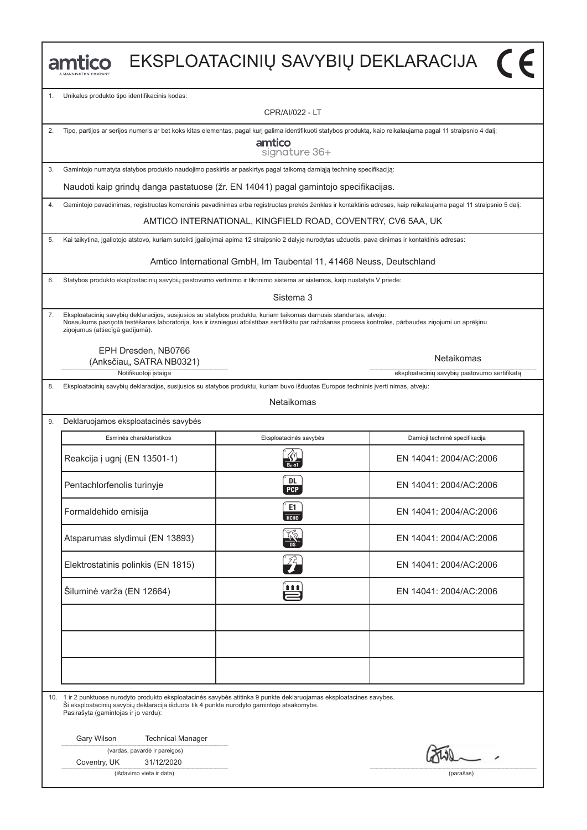|    |                                                                                                                                                                                                                                                                                                                |                                                                      | EKSPLOATACINIŲ SAVYBIŲ DEKLARACIJA (F                                                                                                                             |  |  |
|----|----------------------------------------------------------------------------------------------------------------------------------------------------------------------------------------------------------------------------------------------------------------------------------------------------------------|----------------------------------------------------------------------|-------------------------------------------------------------------------------------------------------------------------------------------------------------------|--|--|
| 1. | Unikalus produkto tipo identifikacinis kodas:                                                                                                                                                                                                                                                                  |                                                                      |                                                                                                                                                                   |  |  |
|    |                                                                                                                                                                                                                                                                                                                | <b>CPR/AI/022 - LT</b>                                               |                                                                                                                                                                   |  |  |
| 2. | Tipo, partijos ar serijos numeris ar bet koks kitas elementas, pagal kurį galima identifikuoti statybos produktą, kaip reikalaujama pagal 11 straipsnio 4 dalį:                                                                                                                                                |                                                                      |                                                                                                                                                                   |  |  |
|    |                                                                                                                                                                                                                                                                                                                | amtico<br>signature 36+                                              |                                                                                                                                                                   |  |  |
| 3. | Gamintojo numatyta statybos produkto naudojimo paskirtis ar paskirtys pagal taikomą darniąją techninę specifikaciją:                                                                                                                                                                                           |                                                                      |                                                                                                                                                                   |  |  |
|    | Naudoti kaip grindų danga pastatuose (žr. EN 14041) pagal gamintojo specifikacijas.                                                                                                                                                                                                                            |                                                                      |                                                                                                                                                                   |  |  |
| 4. |                                                                                                                                                                                                                                                                                                                |                                                                      | Gamintojo pavadinimas, registruotas komercinis pavadinimas arba registruotas prekės ženklas ir kontaktinis adresas, kaip reikalaujama pagal 11 straipsnio 5 dalį: |  |  |
|    |                                                                                                                                                                                                                                                                                                                | AMTICO INTERNATIONAL, KINGFIELD ROAD, COVENTRY, CV6 5AA, UK          |                                                                                                                                                                   |  |  |
| 5. | Kai taikytina, įgaliotojo atstovo, kuriam suteikti įgaliojimai apima 12 straipsnio 2 dalyje nurodytas užduotis, pava dinimas ir kontaktinis adresas:                                                                                                                                                           |                                                                      |                                                                                                                                                                   |  |  |
|    |                                                                                                                                                                                                                                                                                                                | Amtico International GmbH, Im Taubental 11, 41468 Neuss, Deutschland |                                                                                                                                                                   |  |  |
| 6. | Statybos produkto eksploatacinių savybių pastovumo vertinimo ir tikrinimo sistema ar sistemos, kaip nustatyta V priede:                                                                                                                                                                                        |                                                                      |                                                                                                                                                                   |  |  |
|    |                                                                                                                                                                                                                                                                                                                | Sistema 3                                                            |                                                                                                                                                                   |  |  |
| 7. | Eksploatacinių savybių deklaracijos, susijusios su statybos produktu, kuriam taikomas darnusis standartas, atveju:<br>Nosaukums paziņotā testēšanas laboratorija, kas ir izsniegusi atbilstības sertifikātu par ražošanas procesa kontroles, pārbaudes ziņojumi un aprēķinu<br>ziņojumus (attiecīgā gadījumā). |                                                                      |                                                                                                                                                                   |  |  |
|    | EPH Dresden, NB0766<br>(Anksčiau,, SATRA NB0321)<br>Notifikuotoji įstaiga                                                                                                                                                                                                                                      |                                                                      | Netaikomas<br>eksploatacinių savybių pastovumo sertifikatą                                                                                                        |  |  |
| 8. | Eksploatacinių savybių deklaracijos, susijusios su statybos produktu, kuriam buvo išduotas Europos techninis įverti nimas, atveju:                                                                                                                                                                             |                                                                      |                                                                                                                                                                   |  |  |
|    |                                                                                                                                                                                                                                                                                                                | Netaikomas                                                           |                                                                                                                                                                   |  |  |
| 9. | Deklaruojamos eksploatacinės savybės                                                                                                                                                                                                                                                                           |                                                                      |                                                                                                                                                                   |  |  |
|    | Esminės charakteristikos                                                                                                                                                                                                                                                                                       | Eksploatacinės savybės                                               | Darnioji techninė specifikacija                                                                                                                                   |  |  |
|    | Reakcija į ugnį (EN 13501-1)                                                                                                                                                                                                                                                                                   |                                                                      | FN 14041: 2004/AC:2006                                                                                                                                            |  |  |
|    | Pentachlorfenolis turinyje                                                                                                                                                                                                                                                                                     | DL<br><b>PCP</b>                                                     | EN 14041: 2004/AC:2006                                                                                                                                            |  |  |
|    | Formaldehido emisija                                                                                                                                                                                                                                                                                           | E1<br>НСНО                                                           | EN 14041: 2004/AC:2006                                                                                                                                            |  |  |
|    | Atsparumas slydimui (EN 13893)                                                                                                                                                                                                                                                                                 |                                                                      | EN 14041: 2004/AC:2006                                                                                                                                            |  |  |
|    | Elektrostatinis polinkis (EN 1815)                                                                                                                                                                                                                                                                             | $\widehat{Z}_{\bm{\tau}}$                                            | EN 14041: 2004/AC:2006                                                                                                                                            |  |  |
|    | Šiluminė varža (EN 12664)                                                                                                                                                                                                                                                                                      | 自自自                                                                  | EN 14041: 2004/AC:2006                                                                                                                                            |  |  |
|    |                                                                                                                                                                                                                                                                                                                |                                                                      |                                                                                                                                                                   |  |  |
|    |                                                                                                                                                                                                                                                                                                                |                                                                      |                                                                                                                                                                   |  |  |
|    |                                                                                                                                                                                                                                                                                                                |                                                                      |                                                                                                                                                                   |  |  |
|    | 10. 1 ir 2 punktuose nurodyto produkto eksploatacinės savybės atitinka 9 punkte deklaruojamas eksploatacines savybes.<br>Ši eksploatacinių savybių deklaracija išduota tik 4 punkte nurodyto gamintojo atsakomybe.<br>Pasirašyta (gamintojas ir jo vardu):                                                     |                                                                      |                                                                                                                                                                   |  |  |
|    | Gary Wilson<br><b>Technical Manager</b><br>(vardas, pavardė ir pareigos)                                                                                                                                                                                                                                       |                                                                      |                                                                                                                                                                   |  |  |
|    | Coventry, UK<br>31/12/2020                                                                                                                                                                                                                                                                                     |                                                                      |                                                                                                                                                                   |  |  |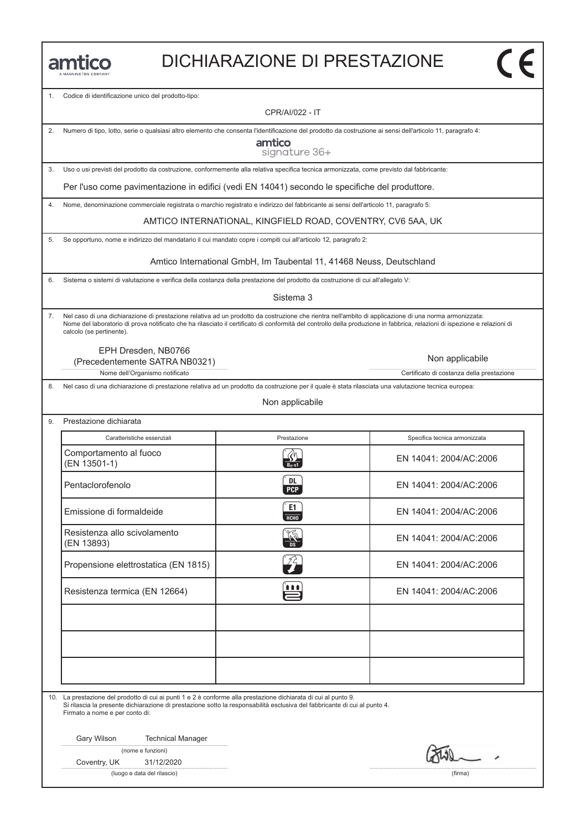#### DICHIARAZIONE DI PRESTAZIONE

Codice di identificazione unico del prodotto-tipo:

CPR/AI/022 - IT

| 2. Numero di tipo, lotto, serie o qualsiasi altro elemento che consenta l'identificazione del prodotto da costruzione ai sensi dell'articolo 11, paragrafo 4: |
|---------------------------------------------------------------------------------------------------------------------------------------------------------------|
|                                                                                                                                                               |

amtico signature 36+

3. Uso o usi previsti del prodotto da costruzione, conformemente alla relativa specifica tecnica armonizzata, come previsto dal fabbricante:

Per l'uso come pavimentazione in edifici (vedi EN 14041) secondo le specifiche del produttore.

4. Nome, denominazione commerciale registrata o marchio registrato e indirizzo del fabbricante ai sensi dell'articolo 11, paragrafo 5:

AMTICO INTERNATIONAL, KINGFIELD ROAD, COVENTRY, CV6 5AA, UK

5. Se opportuno, nome e indirizzo del mandatario il cui mandato copre i compiti cui all'articolo 12, paragrafo 2:

Amtico International GmbH, Im Taubental 11, 41468 Neuss, Deutschland

6. Sistema o sistemi di valutazione e verifica della costanza della prestazione del prodotto da costruzione di cui all'allegato V:

Sistema 3

7. Nel caso di una dichiarazione di prestazione relativa ad un prodotto da costruzione che rientra nell'ambito di applicazione di una norma armonizzata: Nome del laboratorio di prova notificato che ha rilasciato il certificato di conformità del controllo della produzione in fabbrica, relazioni di ispezione e relazioni di calcolo (se pertinente).

EPH Dresden, NB0766

Nome dell'Organismo notificato controlle controlle controlle controlle controlle controlle controlle controlle controlle controlle controlle controlle controlle controlle controlle controlle controlle controlle controlle c (Precedentemente SATRA NB0321)

8. Nel caso di una dichiarazione di prestazione relativa ad un prodotto da costruzione per il quale è stata rilasciata una valutazione tecnica europea:

Non applicabile

9. Prestazione dichiarata Caratteristiche essenziali Prestazione Specifica tecnica armonizzata Comportamento al fuoco Caratteristiche essenziali Prestazione Specifica tecnica armonizzata<br>
Comportamento al fuoco (EN 13501-1) EN 14041: 2004/AC:2006 EN 14041: 2004/AC:2006<br>
En 14041: 2004/AC:2006<br>
Pentaclorofenolo EN 14041: 2004/AC:2006 Emissione di formaldeide contraction di formaldeide contraction di formal della contraction di formal del contraction di formal del contraction di formal del contraction di formal del contraction di formal del contraction Resistenza allo scivolamento<br>(EN 13893) Emissione di formaldeide<br>
EN 14041: 2004/AC:2006<br>
Resistenza allo scivolamento<br>
(EN 13893) EN 14041: 2004/AC:2006 EN 14041: 2004/AC:2006<br>Propensione elettrostatica (EN 1815)<br>Propensione elettrostatica (EN 1815) Propensione elettrostatica (EN 1815)<br>
Resistenza termica (EN 12664)<br>
EN 14041: 2004/AC:2006

10. La prestazione del prodotto di cui ai punti 1 e 2 è conforme alla prestazione dichiarata di cui al punto 9.

Si rilascia la presente dichiarazione di prestazione sotto la responsabilità esclusiva del fabbricante di cui al punto 4. Firmato a nome e per conto di:

Gary Wilson Technical Manager

(nome e funzioni)

Coventry, UK 31/12/2020

(luogo e data del rilascio) (firma)

Non applicabile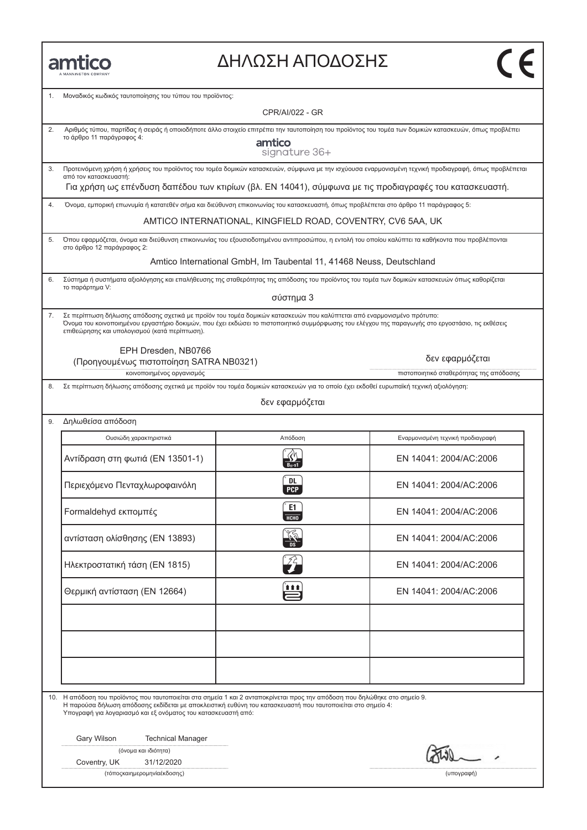| MANNINGTON COMPA |
|------------------|

### ΔΗΛΩΣΗ ΑΠΟΔΟΣΗΣ

| 1. | Μοναδικός κωδικός ταυτοποίησης του τύπου του προϊόντος:                                                                                                                                                                                                                                                                      |                                                                      |                                                                                                                                                                                                                                                                 |  |
|----|------------------------------------------------------------------------------------------------------------------------------------------------------------------------------------------------------------------------------------------------------------------------------------------------------------------------------|----------------------------------------------------------------------|-----------------------------------------------------------------------------------------------------------------------------------------------------------------------------------------------------------------------------------------------------------------|--|
|    | <b>CPR/AI/022 - GR</b>                                                                                                                                                                                                                                                                                                       |                                                                      |                                                                                                                                                                                                                                                                 |  |
| 2. | Αριθμός τύπου, παρτίδας ή σειράς ή οποιοδήποτε άλλο στοιχείο επιτρέπει την ταυτοποίηση του προϊόντος του τομέα των δομικών κατασκευών, όπως προβλέπει<br>το άρθρο 11 παράγραφος 4:<br>amtico<br>signature 36+                                                                                                                |                                                                      |                                                                                                                                                                                                                                                                 |  |
| 3. | από τον κατασκευαστή:                                                                                                                                                                                                                                                                                                        |                                                                      | Προτεινόμενη χρήση ή χρήσεις του προϊόντος του τομέα δομικών κατασκευών, σύμφωνα με την ισχύουσα εναρμονισμένη τεχνική προδιαγραφή, όπως προβλέπεται<br>Για χρήση ως επένδυση δαπέδου των κτιρίων (βλ. EN 14041), σύμφωνα με τις προδιαγραφές του κατασκευαστή. |  |
| 4. | Όνομα, εμπορική επωνυμία ή κατατεθέν σήμα και διεύθυνση επικοινωνίας του κατασκευαστή, όπως προβλέπεται στο άρθρο 11 παράγραφος 5:                                                                                                                                                                                           |                                                                      |                                                                                                                                                                                                                                                                 |  |
|    |                                                                                                                                                                                                                                                                                                                              | AMTICO INTERNATIONAL, KINGFIELD ROAD, COVENTRY, CV6 5AA, UK          |                                                                                                                                                                                                                                                                 |  |
| 5. | Όπου εφαρμόζεται, όνομα και διεύθυνση επικοινωνίας του εξουσιοδοτημένου αντιπροσώπου, η εντολή του οποίου καλύπτει τα καθήκοντα που προβλέπονται<br>στο άρθρο 12 παράγραφος 2:                                                                                                                                               |                                                                      |                                                                                                                                                                                                                                                                 |  |
|    |                                                                                                                                                                                                                                                                                                                              | Amtico International GmbH, Im Taubental 11, 41468 Neuss, Deutschland |                                                                                                                                                                                                                                                                 |  |
| 6. | Σύστημα ή συστήματα αξιολόγησης και επαλήθευσης της σταθερότητας της απόδοσης του προϊόντος του τομέα των δομικών κατασκευών όπως καθορίζεται<br>το παράρτημα V:                                                                                                                                                             |                                                                      |                                                                                                                                                                                                                                                                 |  |
|    |                                                                                                                                                                                                                                                                                                                              | σύστημα 3                                                            |                                                                                                                                                                                                                                                                 |  |
| 7. | Σε περίπτωση δήλωσης απόδοσης σχετικά με προϊόν του τομέα δομικών κατασκευών που καλύπτεται από εναρμονισμένο πρότυπο:<br>Όνομα του κοινοποιημένου εργαστήριο δοκιμών, που έχει εκδώσει το πιστοποιητικό συμμόρφωσης του ελέγχου της παραγωγής στο εργοστάσιο, τις εκθέσεις<br>επιθεώρησης και υπολογισμού (κατά περίπτωση). |                                                                      |                                                                                                                                                                                                                                                                 |  |
|    | EPH Dresden, NB0766<br>(Προηγουμένως πιστοποίηση SATRA NB0321)<br>κοινοποιημένος οργανισμός                                                                                                                                                                                                                                  |                                                                      | δεν εφαρμόζεται<br>πιστοποιητικό σταθερότητας της απόδοσης                                                                                                                                                                                                      |  |
| 8. | Σε περίπτωση δήλωσης απόδοσης σχετικά με προϊόν του τομέα δομικών κατασκευών για το οποίο έχει εκδοθεί ευρωπαϊκή τεχνική αξιολόγηση:                                                                                                                                                                                         |                                                                      |                                                                                                                                                                                                                                                                 |  |
|    |                                                                                                                                                                                                                                                                                                                              | δεν εφαρμόζεται                                                      |                                                                                                                                                                                                                                                                 |  |
| 9. | Δηλωθείσα απόδοση                                                                                                                                                                                                                                                                                                            |                                                                      |                                                                                                                                                                                                                                                                 |  |
|    | Ουσιώδη χαρακτηριστικά                                                                                                                                                                                                                                                                                                       | Απόδοση                                                              | Εναρμονισμένη τεχνική προδιαγραφή                                                                                                                                                                                                                               |  |
|    | Αντίδραση στη φωτιά (EN 13501-1)                                                                                                                                                                                                                                                                                             | $B_{fl}$ -s1                                                         | EN 14041: 2004/AC:2006                                                                                                                                                                                                                                          |  |
|    | Περιεχόμενο Πενταχλωροφαινόλη                                                                                                                                                                                                                                                                                                | DL.<br><b>PCP</b>                                                    | EN 14041: 2004/AC:2006                                                                                                                                                                                                                                          |  |
|    | Formaldehyd εκπομπές                                                                                                                                                                                                                                                                                                         | E1<br>НСНО                                                           | EN 14041: 2004/AC:2006                                                                                                                                                                                                                                          |  |
|    | αντίσταση ολίσθησης (EN 13893)                                                                                                                                                                                                                                                                                               | منحص                                                                 | EN 14041: 2004/AC:2006                                                                                                                                                                                                                                          |  |
|    | Ηλεκτροστατική τάση (EN 1815)                                                                                                                                                                                                                                                                                                |                                                                      | EN 14041: 2004/AC:2006                                                                                                                                                                                                                                          |  |
|    | Θερμική αντίσταση (EN 12664)                                                                                                                                                                                                                                                                                                 | 自自自                                                                  | EN 14041: 2004/AC:2006                                                                                                                                                                                                                                          |  |
|    |                                                                                                                                                                                                                                                                                                                              |                                                                      |                                                                                                                                                                                                                                                                 |  |
|    |                                                                                                                                                                                                                                                                                                                              |                                                                      |                                                                                                                                                                                                                                                                 |  |
|    | 10. Η απόδοση του προϊόντος που ταυτοποιείται στα σημεία 1 και 2 ανταποκρίνεται προς την απόδοση που δηλώθηκε στο σημείο 9.<br>Η παρούσα δήλωση απόδοσης εκδίδεται με αποκλειστική ευθύνη του κατασκευαστή που ταυτοποιείται στο σημείο 4:<br>Υπογραφή για λογαριασμό και εξ ονόματος του κατασκευαστή από:                  |                                                                      |                                                                                                                                                                                                                                                                 |  |
|    | Gary Wilson<br><b>Technical Manager</b>                                                                                                                                                                                                                                                                                      |                                                                      |                                                                                                                                                                                                                                                                 |  |
|    | (όνομα και ιδιότητα)<br>31/12/2020<br>Coventry, UK                                                                                                                                                                                                                                                                           |                                                                      |                                                                                                                                                                                                                                                                 |  |
|    | (τόποςκαιημερομηνία έκδοσης)<br>(υπογραφή)                                                                                                                                                                                                                                                                                   |                                                                      |                                                                                                                                                                                                                                                                 |  |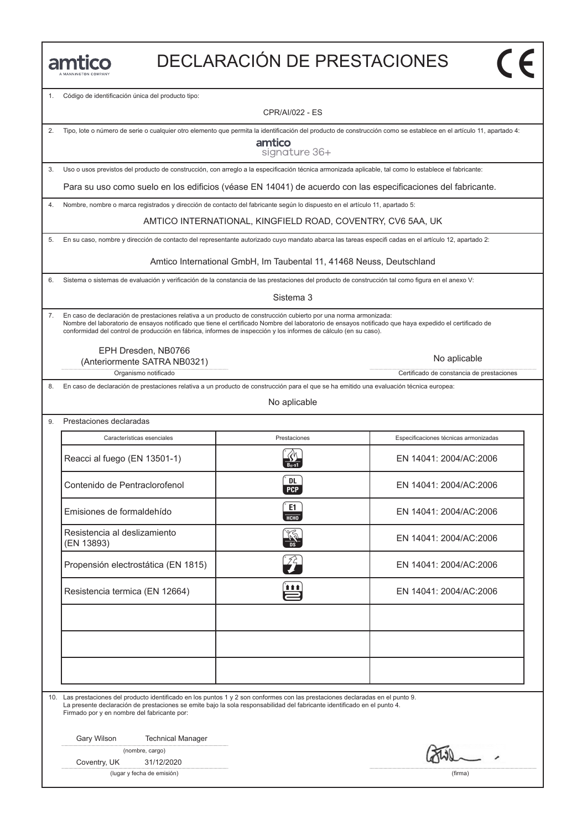|  | MANNINGTON COMPANY |
|--|--------------------|

# DECLARACIÓN DE PRESTACIONES

1. Código de identificación única del producto tipo:

CPR/AI/022 - ES

| 2. | Tipo, lote o número de serie o cualquier otro elemento que permita la identificación del producto de construcción como se establece en el artículo 11, apartado 4:<br>amtico<br>signature 36+                                                                                                                                                                                                  |                                                                      |                                           |
|----|------------------------------------------------------------------------------------------------------------------------------------------------------------------------------------------------------------------------------------------------------------------------------------------------------------------------------------------------------------------------------------------------|----------------------------------------------------------------------|-------------------------------------------|
| 3. | Uso o usos previstos del producto de construcción, con arreglo a la especificación técnica armonizada aplicable, tal como lo establece el fabricante:                                                                                                                                                                                                                                          |                                                                      |                                           |
|    | Para su uso como suelo en los edificios (véase EN 14041) de acuerdo con las especificaciones del fabricante.                                                                                                                                                                                                                                                                                   |                                                                      |                                           |
| 4. | Nombre, nombre o marca registrados y dirección de contacto del fabricante según lo dispuesto en el artículo 11, apartado 5:                                                                                                                                                                                                                                                                    |                                                                      |                                           |
|    |                                                                                                                                                                                                                                                                                                                                                                                                | AMTICO INTERNATIONAL, KINGFIELD ROAD, COVENTRY, CV6 5AA, UK          |                                           |
| 5. | En su caso, nombre y dirección de contacto del representante autorizado cuyo mandato abarca las tareas especificadas en el artículo 12, apartado 2:                                                                                                                                                                                                                                            |                                                                      |                                           |
|    |                                                                                                                                                                                                                                                                                                                                                                                                | Amtico International GmbH, Im Taubental 11, 41468 Neuss, Deutschland |                                           |
| 6. | Sistema o sistemas de evaluación y verificación de la constancia de las prestaciones del producto de construcción tal como figura en el anexo V:                                                                                                                                                                                                                                               |                                                                      |                                           |
|    |                                                                                                                                                                                                                                                                                                                                                                                                | Sistema 3                                                            |                                           |
| 7. | En caso de declaración de prestaciones relativa a un producto de construcción cubierto por una norma armonizada:<br>Nombre del laboratorio de ensayos notificado que tiene el certificado Nombre del laboratorio de ensayos notificado que haya expedido el certificado de<br>conformidad del control de producción en fábrica, informes de inspección y los informes de cálculo (en su caso). |                                                                      |                                           |
|    | EPH Dresden, NB0766<br>(Anteriormente SATRA NB0321)                                                                                                                                                                                                                                                                                                                                            |                                                                      | No aplicable                              |
|    | Organismo notificado                                                                                                                                                                                                                                                                                                                                                                           |                                                                      | Certificado de constancia de prestaciones |
| 8. | En caso de declaración de prestaciones relativa a un producto de construcción para el que se ha emitido una evaluación técnica europea:                                                                                                                                                                                                                                                        |                                                                      |                                           |
|    |                                                                                                                                                                                                                                                                                                                                                                                                | No aplicable                                                         |                                           |
| 9. | Prestaciones declaradas                                                                                                                                                                                                                                                                                                                                                                        |                                                                      |                                           |
|    | Características esenciales                                                                                                                                                                                                                                                                                                                                                                     | Prestaciones                                                         | Especificaciones técnicas armonizadas     |
|    | Reacci al fuego (EN 13501-1)                                                                                                                                                                                                                                                                                                                                                                   | $\overline{B_{fl}}$ -s1                                              | EN 14041: 2004/AC:2006                    |
|    | Contenido de Pentraclorofenol                                                                                                                                                                                                                                                                                                                                                                  | DL<br><b>PCP</b>                                                     | EN 14041: 2004/AC:2006                    |
|    | Emisiones de formaldehído                                                                                                                                                                                                                                                                                                                                                                      | E1<br><b>HCHO</b>                                                    | EN 14041: 2004/AC:2006                    |
|    | Resistencia al deslizamiento<br>(EN 13893)                                                                                                                                                                                                                                                                                                                                                     |                                                                      | EN 14041: 2004/AC:2006                    |
|    | Propensión electrostática (EN 1815)                                                                                                                                                                                                                                                                                                                                                            | $\overline{z}$                                                       | EN 14041: 2004/AC:2006                    |
|    | Resistencia termica (EN 12664)                                                                                                                                                                                                                                                                                                                                                                 |                                                                      | EN 14041: 2004/AC:2006                    |
|    |                                                                                                                                                                                                                                                                                                                                                                                                |                                                                      |                                           |
|    |                                                                                                                                                                                                                                                                                                                                                                                                |                                                                      |                                           |
|    | 10. Las prestaciones del producto identificado en los puntos 1 y 2 son conformes con las prestaciones declaradas en el punto 9.<br>La presente declaración de prestaciones se emite bajo la sola responsabilidad del fabricante identificado en el punto 4.<br>Firmado por y en nombre del fabricante por:                                                                                     |                                                                      |                                           |
|    | Gary Wilson<br><b>Technical Manager</b><br>(nombre, cargo)                                                                                                                                                                                                                                                                                                                                     |                                                                      | $\sim -1$                                 |
|    | Coventry, UK<br>31/12/2020                                                                                                                                                                                                                                                                                                                                                                     |                                                                      |                                           |

(lugar y fecha de emisión) (firma)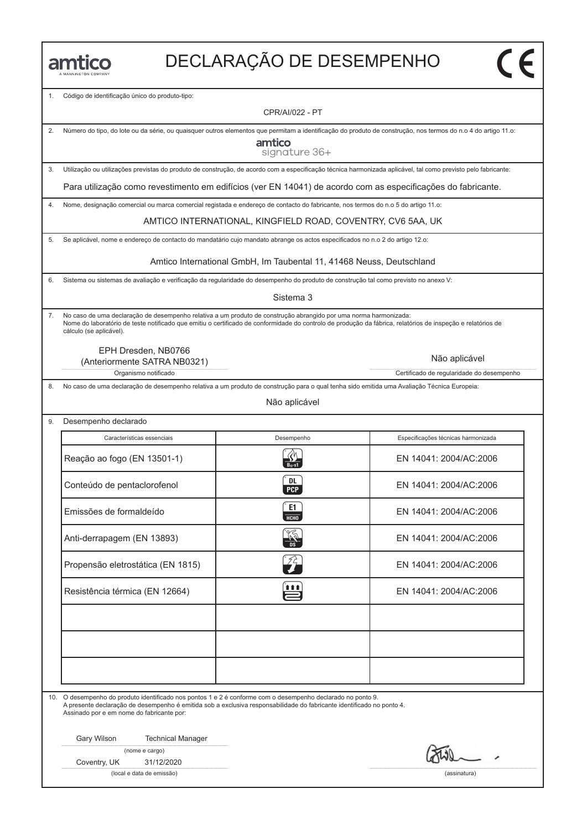## DECLARAҪÃO DE DESEMPENHO

1. Código de identificação único do produto-tipo:

CPR/AI/022 - PT

| amtico<br>signature 36+                                                                                                                                       |
|---------------------------------------------------------------------------------------------------------------------------------------------------------------|
| Utilização ou utilizações previstas do produto de construção, de acordo com a especificação técnica harmonizada aplicável, tal como previsto pelo fabricante: |
|                                                                                                                                                               |

2. Número do tipo, do lote ou da série, ou quaisquer outros elementos que permitam a identificação do produto de construção, nos termos do n.o 4 do artigo 11.o:

Para utilização como revestimento em edifícios (ver EN 14041) de acordo com as especificações do fabricante.

4. Nome, designação comercial ou marca comercial registada e endereço de contacto do fabricante, nos termos do n.o 5 do artigo 11.o:

AMTICO INTERNATIONAL, KINGFIELD ROAD, COVENTRY, CV6 5AA, UK

5. Se aplicável, nome e endereço de contacto do mandatário cujo mandato abrange os actos especificados no n.o 2 do artigo 12.o:

Amtico International GmbH, Im Taubental 11, 41468 Neuss, Deutschland

6. Sistema ou sistemas de avaliação e verificação da regularidade do desempenho do produto de construção tal como previsto no anexo V:

Sistema 3

7. No caso de uma declaração de desempenho relativa a um produto de construção abrangido por uma norma harmonizada: Nome do laboratório de teste notificado que emitiu o certificado de conformidade do controlo de produção da fábrica, relatórios de inspeção e relatórios de cálculo (se aplicável).

EPH Dresden, NB0766

Organismo notificado **Certificado de regularidade do desempenho** (Anteriormente SATRA NB0321)

8. No caso de uma declaração de desempenho relativa a um produto de construção para o qual tenha sido emitida uma Avaliação Técnica Europeia:

Não aplicável

| Características essenciais        | Desempenho       | Especificações técnicas harmonizada |
|-----------------------------------|------------------|-------------------------------------|
| Reação ao fogo (EN 13501-1)       |                  | EN 14041: 2004/AC:2006              |
| Conteúdo de pentaclorofenol       | DL<br><b>PCP</b> | EN 14041: 2004/AC:2006              |
| Emissões de formaldeído           | E1<br>НСНО       | EN 14041: 2004/AC:2006              |
| Anti-derrapagem (EN 13893)        |                  | EN 14041: 2004/AC:2006              |
| Propensão eletrostática (EN 1815) |                  | EN 14041: 2004/AC:2006              |
| Resistência térmica (EN 12664)    | <b></b>          | EN 14041: 2004/AC:2006              |
|                                   |                  |                                     |
|                                   |                  |                                     |
|                                   |                  |                                     |

10. O desempenho do produto identificado nos pontos 1 e 2 é conforme com o desempenho declarado no ponto 9.

A presente declaração de desempenho é emitida sob a exclusiva responsabilidade do fabricante identificado no ponto 4. Assinado por e em nome do fabricante por:

Gary Wilson Technical Manager

(nome e cargo)

Coventry, UK 31/12/2020

(local e data de emissão) (assinatura)

Não aplicável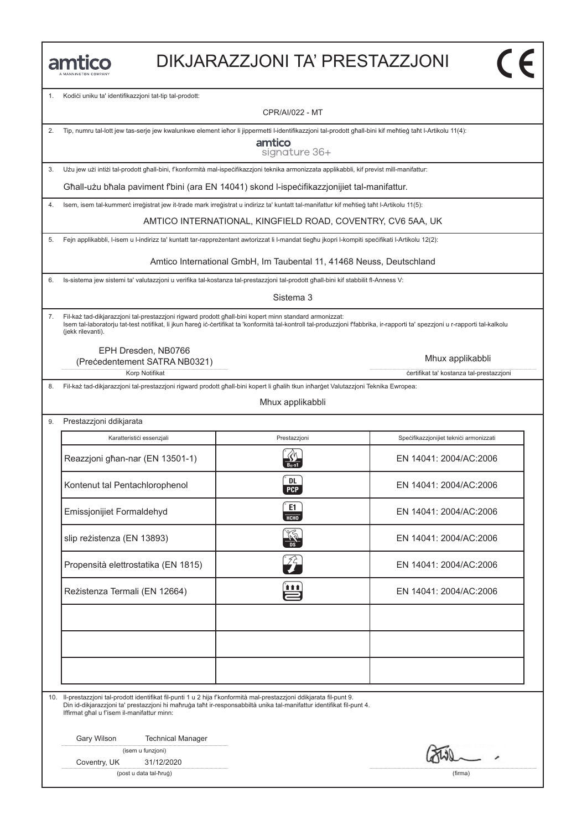| MANNINGTON COMPANY |  |
|--------------------|--|

#### DIKJARAZZJONI TA' PRESTAZZJONI

1. Kodići uniku ta' identifikazzjoni tat-tip tal-prodott:

CPR/AI/022 - MT

2. Tip, numru tal-lott jew tas-serje jew kwalunkwe element ieħor li jippermetti l-identifikazzjoni tal-prodott għall-bini kif meħtieġ taħt l-Artikolu 11(4):

amtico signature 36+

3. Użu jew użi intiżi tal-prodott għall-bini, f'konformità mal-ispeċifikazzjoni teknika armonizzata applikabbli, kif previst mill-manifattur:

Għall-użu bħala paviment f'bini (ara EN 14041) skond l-ispeċifikazzjonijiet tal-manifattur.

4. Isem, isem tal-kummerċ irreġistrat jew it-trade mark irreġistrat u indirizz ta' kuntatt tal-manifattur kif meħtieġ taħt l-Artikolu 11(5):

AMTICO INTERNATIONAL, KINGFIELD ROAD, COVENTRY, CV6 5AA, UK

5. Fejn applikabbli, l-isem u l-indirizz ta' kuntatt tar-rappreżentant awtorizzat li l-mandat tiegħu jkopri l-kompiti speċifikati l-Artikolu 12(2):

Amtico International GmbH, Im Taubental 11, 41468 Neuss, Deutschland

6. Is-sistema jew sistemi ta' valutazzjoni u verifika tal-kostanza tal-prestazzjoni tal-prodott għall-bini kif stabbilit fl-Anness V:

Sistema 3

7. Fil-każ tad-dikjarazzjoni tal-prestazzjoni rigward prodott għall-bini kopert minn standard armonizzat: Isem tal-laboratorju tat-test notifikat, li jkun ħareġ iċ-ċertifikat ta 'konformità tal-kontroll tal-produzzjoni f'fabbrika, ir-rapporti ta' spezzjoni u r-rapporti tal-kalkolu (jekk rilevanti).

EPH Dresden, NB0766 (Preċedentement SATRA NB0321)

Mhux applikabbli

 $\overline{\mathsf{c}\mathsf{c}}$ 

Korp Notifikat **in the set of the set of the set of the set of the set of the set of the set of the set of the set of the set of the set of the set of the set of the set of the set of the set of the set of the set of the s** 

8. Fil-każ tad-dikjarazzjoni tal-prestazzjoni rigward prodott għall-bini kopert li għalih tkun inħarġet Valutazzjoni Teknika Ewropea:

Mhux applikabbli

| Prestazzjoni ddikjarata             |                         |                                         |
|-------------------------------------|-------------------------|-----------------------------------------|
| Karatteristići essenzjali           | Prestazzjoni            | Specifikazzjonijiet teknici armonizzati |
| Reazzjoni għan-nar (EN 13501-1)     |                         | EN 14041: 2004/AC:2006                  |
| Kontenut tal Pentachlorophenol      | <b>DL</b><br><b>PCP</b> | EN 14041: 2004/AC:2006                  |
| Emissjonijiet Formaldehyd           | E1<br><b>HCHO</b>       | EN 14041: 2004/AC:2006                  |
| slip reżistenza (EN 13893)          |                         | EN 14041: 2004/AC:2006                  |
| Propensità elettrostatika (EN 1815) |                         | EN 14041: 2004/AC:2006                  |
| Rezistenza Termali (EN 12664)       | <u>in</u>               | EN 14041: 2004/AC:2006                  |
|                                     |                         |                                         |
|                                     |                         |                                         |
|                                     |                         |                                         |

10. Il-prestazzjoni tal-prodott identifikat fil-punti 1 u 2 hija f'konformità mal-prestazzjoni ddikjarata fil-punt 9. Din id-dikjarazzjoni ta' prestazzjoni hi maħruġa taħt ir-responsabbiltà unika tal-manifattur identifikat fil-punt 4. Iffirmat għal u f'isem il-manifattur minn:

Gary Wilson Technical Manager

(isem u funzjoni)

Coventry, UK 31/12/2020

(post u data tal-ħruġ) (firma)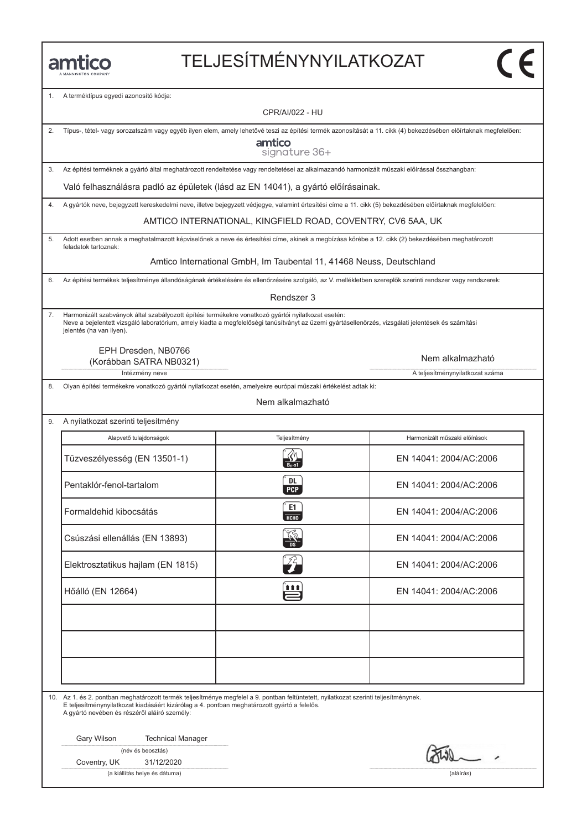# TELJESÍTMÉNYNYILATKOZAT

1. A terméktípus egyedi azonosító kódja:

|    | <b>CPR/AI/022 - HU</b>                                                                                                                                                                                                                                                               |                                                                      |                                 |
|----|--------------------------------------------------------------------------------------------------------------------------------------------------------------------------------------------------------------------------------------------------------------------------------------|----------------------------------------------------------------------|---------------------------------|
| 2. | Típus-, tétel- vagy sorozatszám vagy egyéb ilyen elem, amely lehetővé teszi az építési termék azonosítását a 11. cikk (4) bekezdésében előírtaknak megfelelően:<br>amtico                                                                                                            |                                                                      |                                 |
|    |                                                                                                                                                                                                                                                                                      | signature 36+                                                        |                                 |
| 3. | Az építési terméknek a gyártó által meghatározott rendeltetése vagy rendeltetései az alkalmazandó harmonizált műszaki előírással összhangban:                                                                                                                                        |                                                                      |                                 |
|    | Való felhasználásra padló az épületek (lásd az EN 14041), a gyártó előírásainak.                                                                                                                                                                                                     |                                                                      |                                 |
| 4. | A gyártók neve, bejegyzett kereskedelmi neve, illetve bejegyzett védjegye, valamint értesítési címe a 11. cikk (5) bekezdésében előírtaknak megfelelően:                                                                                                                             |                                                                      |                                 |
|    |                                                                                                                                                                                                                                                                                      | AMTICO INTERNATIONAL, KINGFIELD ROAD, COVENTRY, CV6 5AA, UK          |                                 |
| 5. | Adott esetben annak a meghatalmazott képviselőnek a neve és értesítési címe, akinek a megbízása körébe a 12. cikk (2) bekezdésében meghatározott<br>feladatok tartoznak:                                                                                                             |                                                                      |                                 |
|    |                                                                                                                                                                                                                                                                                      | Amtico International GmbH, Im Taubental 11, 41468 Neuss, Deutschland |                                 |
| 6. | Az építési termékek teljesítménye állandóságának értékelésére és ellenőrzésére szolgáló, az V. mellékletben szereplők szerinti rendszer vagy rendszerek:                                                                                                                             |                                                                      |                                 |
|    |                                                                                                                                                                                                                                                                                      | Rendszer 3                                                           |                                 |
| 7. | Harmonizált szabványok által szabályozott építési termékekre vonatkozó gyártói nyilatkozat esetén:<br>Neve a bejelentett vizsgáló laboratórium, amely kiadta a megfelelőségi tanúsítványt az üzemi gyártásellenőrzés, vizsgálati jelentések és számítási<br>jelentés (ha van ilyen). |                                                                      |                                 |
|    | EPH Dresden, NB0766                                                                                                                                                                                                                                                                  |                                                                      | Nem alkalmazható                |
|    | (Korábban SATRA NB0321)<br>Intézmény neve                                                                                                                                                                                                                                            |                                                                      | A teljesítménynyilatkozat száma |
| 8. | Olyan építési termékekre vonatkozó gyártói nyilatkozat esetén, amelyekre európai műszaki értékelést adtak ki:                                                                                                                                                                        |                                                                      |                                 |
|    |                                                                                                                                                                                                                                                                                      | Nem alkalmazható                                                     |                                 |
| 9. | A nyilatkozat szerinti teljesítmény                                                                                                                                                                                                                                                  |                                                                      |                                 |
|    | Alapvető tulajdonságok                                                                                                                                                                                                                                                               | Teljesítmény                                                         | Harmonizált műszaki előírások   |
|    | Tüzveszélyesség (EN 13501-1)                                                                                                                                                                                                                                                         | $\frac{\sqrt{9}}{B_{\text{fl}}\text{-}s1}$                           | EN 14041: 2004/AC:2006          |
|    | Pentaklór-fenol-tartalom                                                                                                                                                                                                                                                             | DL<br><b>PCP</b>                                                     | EN 14041: 2004/AC:2006          |
|    | Formaldehid kibocsátás                                                                                                                                                                                                                                                               | E1<br><b>HCHO</b>                                                    | EN 14041: 2004/AC:2006          |
|    | Csúszási ellenállás (EN 13893)                                                                                                                                                                                                                                                       | <b>DS</b>                                                            | EN 14041: 2004/AC:2006          |
|    | Elektrosztatikus hajlam (EN 1815)                                                                                                                                                                                                                                                    |                                                                      | EN 14041: 2004/AC:2006          |
|    | Hőálló (EN 12664)                                                                                                                                                                                                                                                                    | 111                                                                  | EN 14041: 2004/AC:2006          |
|    |                                                                                                                                                                                                                                                                                      |                                                                      |                                 |
|    |                                                                                                                                                                                                                                                                                      |                                                                      |                                 |
|    |                                                                                                                                                                                                                                                                                      |                                                                      |                                 |
|    |                                                                                                                                                                                                                                                                                      |                                                                      |                                 |
|    |                                                                                                                                                                                                                                                                                      |                                                                      |                                 |
|    | 10. Az 1. és 2. pontban meghatározott termék teljesítménye megfelel a 9. pontban feltüntetett, nyilatkozat szerinti teljesítménynek.<br>E teljesítménynyilatkozat kiadásáért kizárólag a 4. pontban meghatározott gyártó a felelős.<br>A gyártó nevében és részéről aláíró személy:  |                                                                      |                                 |
|    | Gary Wilson<br><b>Technical Manager</b>                                                                                                                                                                                                                                              |                                                                      |                                 |
|    | (név és beosztás)                                                                                                                                                                                                                                                                    |                                                                      |                                 |
|    | Coventry, UK<br>31/12/2020<br>(a kiállítás helye és dátuma)                                                                                                                                                                                                                          |                                                                      | (aláírás)                       |
|    |                                                                                                                                                                                                                                                                                      |                                                                      |                                 |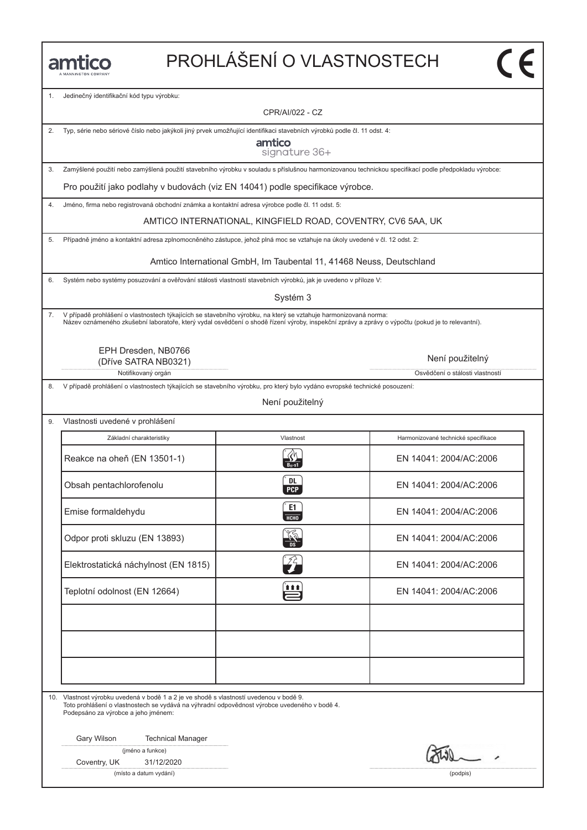# PROHLÁŠENÍ O VLASTNOSTECH

1. Jedinečný identifikační kód typu výrobku:

CPR/AI/022 - CZ

2. Typ, série nebo sériové číslo nebo jakýkoli jiný prvek umožňující identifikaci stavebních výrobků podle čl. 11 odst. 4:

amtico signature 36+

3. Zamýšlené použití nebo zamýšlená použití stavebního výrobku v souladu s příslušnou harmonizovanou technickou specifikací podle předpokladu výrobce:

Pro použití jako podlahy v budovách (viz EN 14041) podle specifikace výrobce.

4. Jméno, firma nebo registrovaná obchodní známka a kontaktní adresa výrobce podle čl. 11 odst. 5:

AMTICO INTERNATIONAL, KINGFIELD ROAD, COVENTRY, CV6 5AA, UK

5. Případně jméno a kontaktní adresa zplnomocněného zástupce, jehož plná moc se vztahuje na úkoly uvedené v čl. 12 odst. 2:

Amtico International GmbH, Im Taubental 11, 41468 Neuss, Deutschland

6. Systém nebo systémy posuzování a ověřování stálosti vlastností stavebních výrobků, jak je uvedeno v příloze V:

Systém 3

7. V případě prohlášení o vlastnostech týkajících se stavebního výrobku, na který se vztahuje harmonizovaná norma: Název oznámeného zkušební laboratoře, který vydal osvědčení o shodě řízení výroby, inspekční zprávy a zprávy o výpočtu (pokud je to relevantní).

> EPH Dresden, NB0766 (Dříve SATRA NB0321)

> > Notifikovaný orgán **Matematica Notifikovaný orgán Cienteria** Notifikovaný orgán Osvědčení o stálosti vlastností

9. Vlastnosti uvedené v prohlášení

8. V případě prohlášení o vlastnostech týkajících se stavebního výrobku, pro který bylo vydáno evropské technické posouzení:

Není použitelný

| Základní charakteristiky             | Vlastnost                   | Harmonizované technické specifikace |
|--------------------------------------|-----------------------------|-------------------------------------|
| Reakce na oheň (EN 13501-1)          | $B_{11}$ -s1                | EN 14041: 2004/AC:2006              |
| Obsah pentachlorofenolu              | DL.<br><b>PCP</b>           | EN 14041: 2004/AC:2006              |
| Emise formaldehydu                   | E1<br>НСНО                  | EN 14041: 2004/AC:2006              |
| Odpor proti skluzu (EN 13893)        |                             | EN 14041: 2004/AC:2006              |
| Elektrostatická náchylnost (EN 1815) | $\mathcal{L}_{\mathcal{T}}$ | EN 14041: 2004/AC:2006              |
| Teplotní odolnost (EN 12664)         | Ë                           | EN 14041: 2004/AC:2006              |
|                                      |                             |                                     |
|                                      |                             |                                     |
|                                      |                             |                                     |

10. Vlastnost výrobku uvedená v bodě 1 a 2 je ve shodě s vlastností uvedenou v bodě 9. Toto prohlášení o vlastnostech se vydává na výhradní odpovědnost výrobce uvedeného v bodě 4.

Podepsáno za výrobce a jeho jménem:

Gary Wilson Technical Manager

| (jméno a funkce) |  |
|------------------|--|
|------------------|--|

Coventry, UK 31/12/2020

(místo a datum vydání) (podpis)

Není použitelný

 $\overline{\mathsf{c}\mathsf{c}}$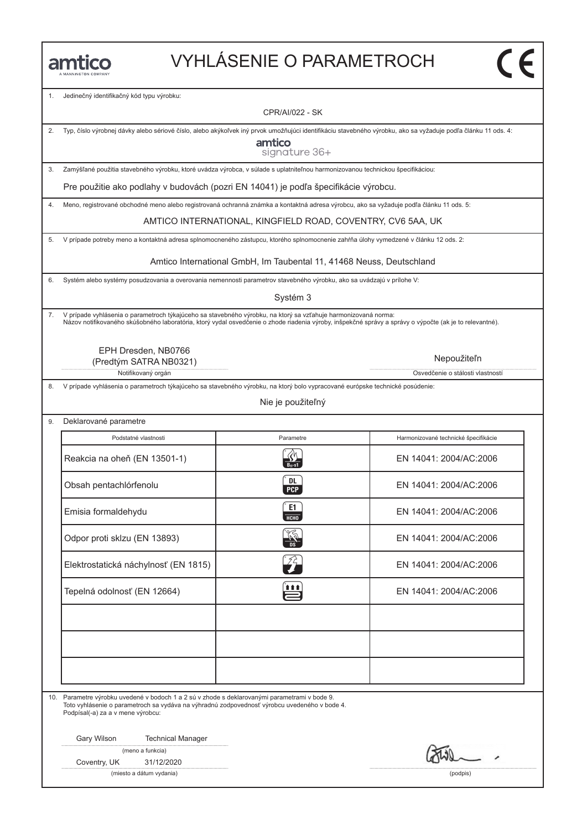## VYHLÁSENIE O PARAMETROCH

1. Jedinečný identifikačný kód typu výrobku:

CPR/AI/022 - SK

2. Typ, číslo výrobnej dávky alebo sériové číslo, alebo akýkoľvek iný prvok umožňujúci identifikáciu stavebného výrobku, ako sa vyžaduje podľa článku 11 ods. 4:

amtico signature 36+

3. Zamýšľané použitia stavebného výrobku, ktoré uvádza výrobca, v súlade s uplatniteľnou harmonizovanou technickou špecifikáciou:

Pre použitie ako podlahy v budovách (pozri EN 14041) je podľa špecifikácie výrobcu.

4. Meno, registrované obchodné meno alebo registrovaná ochranná známka a kontaktná adresa výrobcu, ako sa vyžaduje podľa článku 11 ods. 5:

AMTICO INTERNATIONAL, KINGFIELD ROAD, COVENTRY, CV6 5AA, UK

5. V prípade potreby meno a kontaktná adresa splnomocneného zástupcu, ktorého splnomocnenie zahŕňa úlohy vymedzené v článku 12 ods. 2:

Amtico International GmbH, Im Taubental 11, 41468 Neuss, Deutschland

6. Systém alebo systémy posudzovania a overovania nemennosti parametrov stavebného výrobku, ako sa uvádzajú v prílohe V:

Systém 3

7. V prípade vyhlásenia o parametroch týkajúceho sa stavebného výrobku, na ktorý sa vzťahuje harmonizovaná norma: Názov notifikovaného skúšobného laboratória, ktorý vydal osvedčenie o zhode riadenia výroby, inšpekčné správy a správy o výpočte (ak je to relevantné).

> EPH Dresden, NB0766 (Predtým SATRA NB0321)

> > Notifikovaný orgán **Osvetlandia** Osvetlánia od Osvetlánia od Osvetlánia od Osvetlánia o stálosti vlastností

8. V prípade vyhlásenia o parametroch týkajúceho sa stavebného výrobku, na ktorý bolo vypracované európske technické posúdenie:

Nie je použiteľný

9. Deklarované parametre Podstatné vlastnosti **Parametre** Harmonizované technické špecifikácie **Parametre** Harmonizované technické špecifikácie Podstatné vlastnosti Parametre Harmonizované technické špecifikácie<br>Reakcia na oheň (EN 13501-1) Reakcia na oheň (EN 13501-1) R EN 14041: 2004/AC:2006 Reakcia na oheň (EN 13501-1)<br>
Obsah pentachlórfenolu (EN 14041: 2004/AC:2006<br>
Obsah pentachlórfenolu (EN 14041: 2004/AC:2006 Emisia formaldehydu c EN 14041: 2004/AC:2006<br>Emisia formaldehydu c EN 14041: 2004/AC:2006 Emisia formaldehydu EN 14041: 2004/AC:2006<br>
Odpor proti sklzu (EN 13893)  $\frac{204}{100}$  EN 14041: 2004/AC:2006 Odpor proti skizu (EN 13893)<br>
Elektrostatická náchylnosť (EN 1815)<br>
Elektrostatická náchylnosť (EN 1815) Elektrostatická náchylnosť (EN 1815)<br>Tepelná odolnosť (EN 12664) en EN 14041: 2004/AC:2006

10. Parametre výrobku uvedené v bodoch 1 a 2 sú v zhode s deklarovanými parametrami v bode 9. Toto vyhlásenie o parametroch sa vydáva na výhradnú zodpovednosť výrobcu uvedeného v bode 4. Podpísal(-a) za a v mene výrobcu:

Gary Wilson Technical Manager

(meno a funkcia)

Coventry, UK 31/12/2020

(miesto a dátum vydania) (podpis)

Nepoužiteľn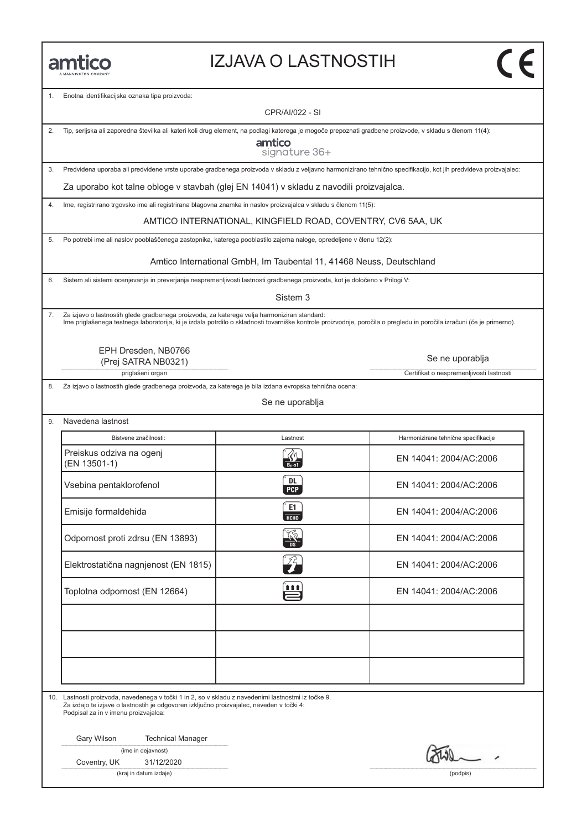#### IZJAVA O LASTNOSTIH

1. Enotna identifikacijska oznaka tipa proizvoda:

CPR/AI/022 - SI

2. Tip, serijska ali zaporedna številka ali kateri koli drug element, na podlagi katerega je mogoče prepoznati gradbene proizvode, v skladu s členom 11(4):

amtico signature 36+

3. Predvidena uporaba ali predvidene vrste uporabe gradbenega proizvoda v skladu z veljavno harmonizirano tehnično specifikacijo, kot jih predvideva proizvajalec:

Za uporabo kot talne obloge v stavbah (glej EN 14041) v skladu z navodili proizvajalca.

4. Ime, registrirano trgovsko ime ali registrirana blagovna znamka in naslov proizvajalca v skladu s členom 11(5):

AMTICO INTERNATIONAL, KINGFIELD ROAD, COVENTRY, CV6 5AA, UK

5. Po potrebi ime ali naslov pooblaščenega zastopnika, katerega pooblastilo zajema naloge, opredeljene v členu 12(2):

Amtico International GmbH, Im Taubental 11, 41468 Neuss, Deutschland

6. Sistem ali sistemi ocenjevanja in preverjanja nespremenljivosti lastnosti gradbenega proizvoda, kot je določeno v Prilogi V:

Sistem 3

7. Za izjavo o lastnostih glede gradbenega proizvoda, za katerega velja harmoniziran standard:<br>Ime priglašenega testnega laboratorija, ki je izdala potrdilo o skladnosti tovarniške kontrole proizvodnje, poročila o pregledu

EPH Dresden, NB0766 (Prej SATRA NB0321)

priglašeni organ **Certifikat o nespremenljivosti lastnosti** Certifikat o nespremenljivosti lastnosti

8. Za izjavo o lastnostih glede gradbenega proizvoda, za katerega je bila izdana evropska tehnična ocena:

Se ne uporablja

9. Navedena lastnost

| Bistvene značilnosti:                    | Lastnost            | Harmonizirane tehnične specifikacije |
|------------------------------------------|---------------------|--------------------------------------|
| Preiskus odziva na ogenj<br>(EN 13501-1) |                     | EN 14041: 2004/AC:2006               |
| Vsebina pentaklorofenol                  | DL<br><b>PCP</b>    | EN 14041: 2004/AC:2006               |
| Emisije formaldehida                     | E1<br><b>HCHO</b>   | EN 14041: 2004/AC:2006               |
| Odpornost proti zdrsu (EN 13893)         |                     | EN 14041: 2004/AC:2006               |
| Elektrostatična nagnjenost (EN 1815)     | $\hat{\mathscr{L}}$ | EN 14041: 2004/AC:2006               |
| Toplotna odpornost (EN 12664)            | Ë                   | EN 14041: 2004/AC:2006               |
|                                          |                     |                                      |
|                                          |                     |                                      |
|                                          |                     |                                      |

10. Lastnosti proizvoda, navedenega v točki 1 in 2, so v skladu z navedenimi lastnostmi iz točke 9. Za izdajo te izjave o lastnostih je odgovoren izključno proizvajalec, naveden v točki 4: Podpisal za in v imenu proizvajalca:

Gary Wilson Technical Manager

(ime in dejavnost)

Coventry, UK 31/12/2020

(kraj in datum izdaje) (podpis)

Se ne uporablja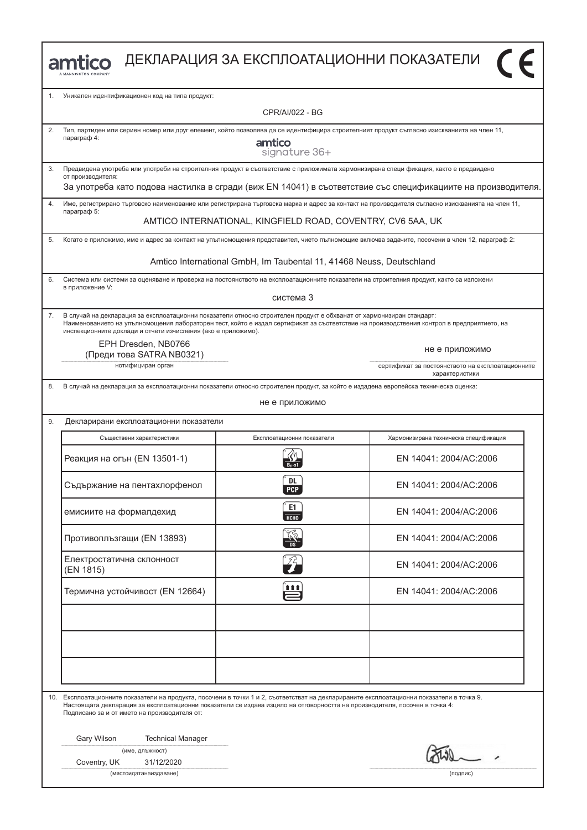|         | amtico                                                                                                                                                                                                                                                                                                                                                    | ДЕКЛАРАЦИЯ ЗА ЕКСПЛОАТАЦИОННИ ПОКАЗАТЕЛИ                             |                                                                                                                                                 |  |
|---------|-----------------------------------------------------------------------------------------------------------------------------------------------------------------------------------------------------------------------------------------------------------------------------------------------------------------------------------------------------------|----------------------------------------------------------------------|-------------------------------------------------------------------------------------------------------------------------------------------------|--|
| $1_{-}$ | Уникален идентификационен код на типа продукт:                                                                                                                                                                                                                                                                                                            |                                                                      |                                                                                                                                                 |  |
|         |                                                                                                                                                                                                                                                                                                                                                           | CPR/AI/022 - BG                                                      |                                                                                                                                                 |  |
| 2.      | Тип, партиден или сериен номер или друг елемент, който позволява да се идентифицира строителният продукт съгласно изискванията на член 11,<br>параграф 4:                                                                                                                                                                                                 | amtico<br>signature 36+                                              |                                                                                                                                                 |  |
| 3.      | Предвидена употреба или употреби на строителния продукт в съответствие с приложимата хармонизирана специ фикация, както е предвидено<br>от производителя:                                                                                                                                                                                                 |                                                                      | За употреба като подова настилка в сгради (виж EN 14041) в съответствие със спецификациите на производителя.                                    |  |
| 4.      |                                                                                                                                                                                                                                                                                                                                                           |                                                                      | Име, регистрирано търговско наименование или регистрирана търговска марка и адрес за контакт на производителя съгласно изискванията на член 11, |  |
|         | параграф 5:                                                                                                                                                                                                                                                                                                                                               | AMTICO INTERNATIONAL, KINGFIELD ROAD, COVENTRY, CV6 5AA, UK          |                                                                                                                                                 |  |
| 5.      | Когато е приложимо, име и адрес за контакт на упълномощения представител, чието пълномощие включва задачите, посочени в член 12, параграф 2:                                                                                                                                                                                                              |                                                                      |                                                                                                                                                 |  |
|         |                                                                                                                                                                                                                                                                                                                                                           | Amtico International GmbH, Im Taubental 11, 41468 Neuss, Deutschland |                                                                                                                                                 |  |
| 6.      | Система или системи за оценяване и проверка на постоянството на експлоатационните показатели на строителния продукт, както са изложени<br>в приложение V:                                                                                                                                                                                                 |                                                                      |                                                                                                                                                 |  |
|         |                                                                                                                                                                                                                                                                                                                                                           | система 3                                                            |                                                                                                                                                 |  |
| 7.      | В случай на декларация за експлоатационни показатели относно строителен продукт е обхванат от хармонизиран стандарт:<br>Наименованието на упълномощения лабораторен тест, който е издал сертификат за съответствие на производствения контрол в предприятието, на<br>инспекционните доклади и отчети изчисления (ако е приложимо).<br>EPH Dresden, NB0766 |                                                                      |                                                                                                                                                 |  |
|         | (Преди това SATRA NB0321)<br>нотифициран орган                                                                                                                                                                                                                                                                                                            |                                                                      | не е приложимо<br>сертификат за постоянството на експлоатационните                                                                              |  |
| 8.      | В случай на декларация за експлоатационни показатели относно строителен продукт, за който е издадена европейска техническа оценка:                                                                                                                                                                                                                        |                                                                      | характеристики                                                                                                                                  |  |
|         |                                                                                                                                                                                                                                                                                                                                                           | не е приложимо                                                       |                                                                                                                                                 |  |
| 9.      | Декларирани експлоатационни показатели                                                                                                                                                                                                                                                                                                                    |                                                                      |                                                                                                                                                 |  |
|         | Съществени характеристики                                                                                                                                                                                                                                                                                                                                 | Експлоатационни показатели                                           | Хармонизирана техническа спецификация                                                                                                           |  |
|         | Реакция на огън (EN 13501-1)                                                                                                                                                                                                                                                                                                                              |                                                                      | EN 14041: 2004/AC:2006                                                                                                                          |  |
|         | Съдържание на пентахлорфенол                                                                                                                                                                                                                                                                                                                              | DL<br><b>PCP</b>                                                     | EN 14041: 2004/AC:2006                                                                                                                          |  |
|         | емисиите на формалдехид                                                                                                                                                                                                                                                                                                                                   | E1<br>НСНО                                                           | EN 14041: 2004/AC:2006                                                                                                                          |  |
|         | Противоплъзгащи (EN 13893)                                                                                                                                                                                                                                                                                                                                |                                                                      | EN 14041: 2004/AC:2006                                                                                                                          |  |
|         | Електростатична склонност<br>(EN 1815)                                                                                                                                                                                                                                                                                                                    | $\mathcal{L}$                                                        | EN 14041: 2004/AC:2006                                                                                                                          |  |
|         | Термична устойчивост (EN 12664)                                                                                                                                                                                                                                                                                                                           | <u> 111</u>                                                          | EN 14041: 2004/AC:2006                                                                                                                          |  |
|         |                                                                                                                                                                                                                                                                                                                                                           |                                                                      |                                                                                                                                                 |  |
|         |                                                                                                                                                                                                                                                                                                                                                           |                                                                      |                                                                                                                                                 |  |
|         |                                                                                                                                                                                                                                                                                                                                                           |                                                                      |                                                                                                                                                 |  |
| 10.     | Експлоатационните показатели на продукта, посочени в точки 1 и 2, съответстват на декларираните експлоатационни показатели в точка 9.<br>Настоящата декларация за експлоатационни показатели се издава изцяло на отговорността на производителя, посочен в точка 4:<br>Подписано за и от името на производителя от:                                       |                                                                      |                                                                                                                                                 |  |
|         | Gary Wilson<br><b>Technical Manager</b>                                                                                                                                                                                                                                                                                                                   |                                                                      |                                                                                                                                                 |  |
|         | (име, длъжност)                                                                                                                                                                                                                                                                                                                                           |                                                                      |                                                                                                                                                 |  |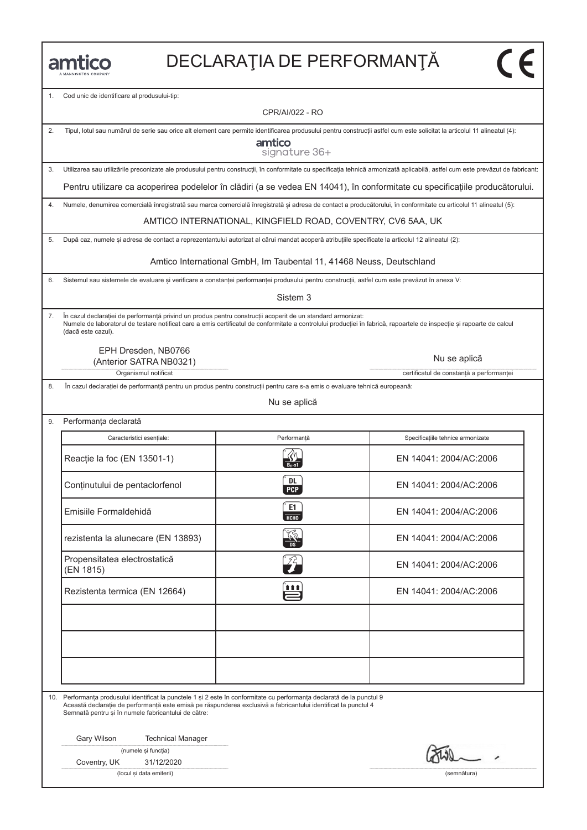1. Cod unic de identificare al produsului-tip:

CPR/AI/022 - RO

 $\sim$ 

2. Tipul, lotul sau numărul de serie sau orice alt element care permite identificarea produsului pentru construcții astfel cum este solicitat la articolul 11 alineatul (4):

amtico

|    | signature oo+                                                                                                                                                                  |
|----|--------------------------------------------------------------------------------------------------------------------------------------------------------------------------------|
| 3. | Utilizarea sau utilizările preconizate ale produsului pentru construcții, în conformitate cu specificația tehnică armonizată aplicabilă, astfel cum este prevăzut de fabricant |
|    | Pentru utilizare ca acoperirea podelelor în clădiri (a se vedea EN 14041), în conformitate cu specificațiile producătorului.                                                   |
| 4. | Numele, denumirea comercială înregistrată sau marca comercială înregistrată si adresa de contact a producătorului, în conformitate cu articolul 11 alineatul (5):              |
|    | AMTICO INTERNATIONAL, KINGFIELD ROAD, COVENTRY, CV6 5AA, UK                                                                                                                    |
| 5. | După caz, numele si adresa de contact a reprezentantului autorizat al cărui mandat acoperă atributiile specificate la articolul 12 alineatul (2):                              |
|    | Amtico International GmbH, Im Taubental 11, 41468 Neuss, Deutschland                                                                                                           |
| 6  | Sistemul sau sistemele de evaluare si verificare a constantei performantei produsului pentru constructii, astfel cum este prevăzut în apexa Vi                                 |

6. Sistemul sau sistemele de evaluare și verificare a constanței performanței produsului pentru construcții, astfel cum este prevăzut în anexa V:

Sistem 3

7. În cazul declarației de performanță privind un produs pentru construcții acoperit de un standard armonizat: Numele de laboratorul de testare notificat care a emis certificatul de conformitate a controlului producției în fabrică, rapoartele de inspecție și rapoarte de calcul (dacă este cazul).

EPH Dresden, NB0766 (Anterior SATRA NB0321)

Organismul notificat certificatul de constanță a performanței

8. În cazul declarației de performanță pentru un produs pentru construcții pentru care s-a emis o evaluare tehnică europeană:

Nu se aplică

| Performanța declarată                     |                         |                                   |
|-------------------------------------------|-------------------------|-----------------------------------|
| Caracteristici esențiale:                 | Performantă             | Specificațiile tehnice armonizate |
| Reacție la foc (EN 13501-1)               |                         | EN 14041: 2004/AC:2006            |
| Conținutului de pentaclorfenol            | <b>DL</b><br><b>PCP</b> | EN 14041: 2004/AC:2006            |
| Emisiile Formaldehidă                     | E1<br>HT                | EN 14041: 2004/AC:2006            |
| rezistenta la alunecare (EN 13893)        | $\frac{1}{\sqrt{2}}$    | EN 14041: 2004/AC:2006            |
| Propensitatea electrostatică<br>(EN 1815) |                         | EN 14041: 2004/AC:2006            |
| Rezistenta termica (EN 12664)             | Ë                       | EN 14041: 2004/AC:2006            |
|                                           |                         |                                   |
|                                           |                         |                                   |
|                                           |                         |                                   |

10. Performanța produsului identificat la punctele 1 și 2 este în conformitate cu performanța declarată de la punctul 9 Această declarație de performanță este emisă pe răspunderea exclusivă a fabricantului identificat la punctul 4 Semnată pentru și în numele fabricantului de către:

Gary Wilson Technical Manager

| (numele și funcția) |  |
|---------------------|--|
|---------------------|--|

Coventry, UK 31/12/2020

(locul și data emiterii) (semnătura)

Nu se aplică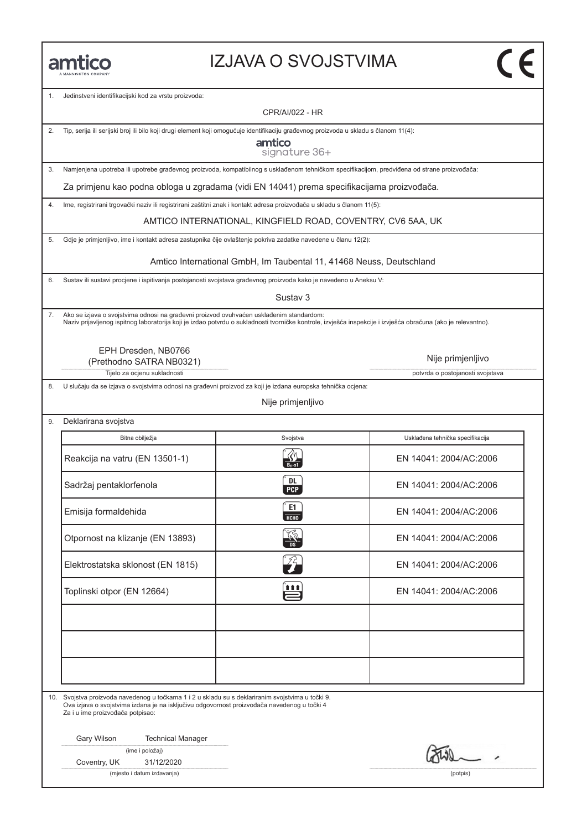#### IZJAVA O SVOJSTVIMA

1. Jedinstveni identifikacijski kod za vrstu proizvoda:

CPR/AI/022 - HR

2. Tip, serija ili serijski broj ili bilo koji drugi element koji omogućuje identifikaciju građevnog proizvoda u skladu s članom 11(4):

amtico signature 36+

3. Namjenjena upotreba ili upotrebe građevnog proizvoda, kompatibilnog s usklađenom tehničkom specifikacijom, predviđena od strane proizvođača:

Za primjenu kao podna obloga u zgradama (vidi EN 14041) prema specifikacijama proizvođača.

4. Ime, registrirani trgovački naziv ili registrirani zaštitni znak i kontakt adresa proizvođača u skladu s članom 11(5):

AMTICO INTERNATIONAL, KINGFIELD ROAD, COVENTRY, CV6 5AA, UK

5. Gdje je primjenljivo, ime i kontakt adresa zastupnika čije ovlaštenje pokriva zadatke navedene u članu 12(2):

Amtico International GmbH, Im Taubental 11, 41468 Neuss, Deutschland

6. Sustav ili sustavi procjene i ispitivanja postojanosti svojstava građevnog proizvoda kako je navedeno u Aneksu V:

Sustav 3

7. Ako se izjava o svojstvima odnosi na građevni proizvod ovuhvaćen usklađenim standardom: Naziv prijavljenog ispitnog laboratorija koji je izdao potvrdu o sukladnosti tvorničke kontrole, izvješća inspekcije i izvješća obračuna (ako je relevantno).

EPH Dresden, NB0766 (Prethodno SATRA NB0321)

Nije primjenljivo

Tijelo za ocjenu sukladnosti **potvrda o postojanosti svojstava** potvrda o postojanosti svojstava

8. U slučaju da se izjava o svojstvima odnosi na građevni proizvod za koji je izdana europska tehnička ocjena:

Nije primjenljivo

9. Deklarirana svojstva

| Bitna obilježja                   | Svojstva                   | Usklađena tehnička specifikacija |
|-----------------------------------|----------------------------|----------------------------------|
| Reakcija na vatru (EN 13501-1)    |                            | EN 14041: 2004/AC:2006           |
| Sadržaj pentaklorfenola           | DL<br><b>PCP</b>           | EN 14041: 2004/AC:2006           |
| Emisija formaldehida              | E1<br>HCHO                 | EN 14041: 2004/AC:2006           |
| Otpornost na klizanje (EN 13893)  | $\frac{\sqrt{2}}{10}$      | EN 14041: 2004/AC:2006           |
| Elektrostatska sklonost (EN 1815) | $\mathcal{Z}_{\mathbf{r}}$ | EN 14041: 2004/AC:2006           |
| Toplinski otpor (EN 12664)        | <u>n a a' </u>             | EN 14041: 2004/AC:2006           |
|                                   |                            |                                  |
|                                   |                            |                                  |
|                                   |                            |                                  |

10. Svojstva proizvoda navedenog u točkama 1 i 2 u skladu su s deklariranim svojstvima u točki 9. Ova izjava o svojstvima izdana je na isključivu odgovornost proizvođača navedenog u točki 4 Za i u ime proizvođača potpisao:

Gary Wilson Technical Manager

|  |  | (ime i položaj) |
|--|--|-----------------|
|--|--|-----------------|

Coventry, UK 31/12/2020

(mjesto i datum izdavanja) (potpis)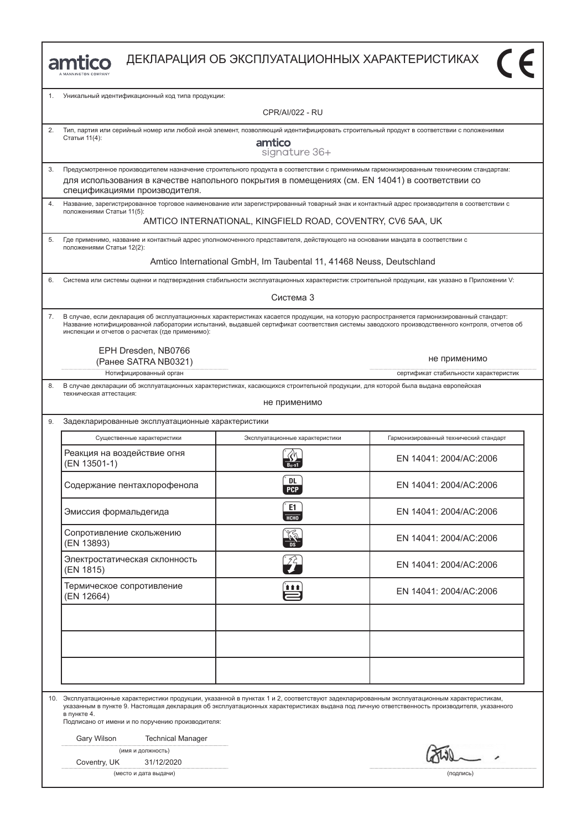

| 1. | Уникальный идентификационный код типа продукции:                                                                                                                                                                                                                                                                                                                                                        |                                 |                                        |  |  |  |  |
|----|---------------------------------------------------------------------------------------------------------------------------------------------------------------------------------------------------------------------------------------------------------------------------------------------------------------------------------------------------------------------------------------------------------|---------------------------------|----------------------------------------|--|--|--|--|
|    | <b>CPR/AI/022 - RU</b>                                                                                                                                                                                                                                                                                                                                                                                  |                                 |                                        |  |  |  |  |
| 2. | Тип, партия или серийный номер или любой иной элемент, позволяющий идентифицировать строительный продукт в соответствии с положениями<br>Статьи 11(4):<br>amtico<br>signature 36+                                                                                                                                                                                                                       |                                 |                                        |  |  |  |  |
| 3. | Предусмотренное производителем назначение строительного продукта в соответствии с применимым гармонизированным техническим стандартам:<br>для использования в качестве напольного покрытия в помещениях (см. EN 14041) в соответствии со                                                                                                                                                                |                                 |                                        |  |  |  |  |
| 4. | спецификациями производителя.<br>Название, зарегистрированное торговое наименование или зарегистрированный товарный знак и контактный адрес производителя в соответствии с                                                                                                                                                                                                                              |                                 |                                        |  |  |  |  |
|    | положениями Статьи 11(5):<br>AMTICO INTERNATIONAL, KINGFIELD ROAD, COVENTRY, CV6 5AA, UK                                                                                                                                                                                                                                                                                                                |                                 |                                        |  |  |  |  |
| 5. | Где применимо, название и контактный адрес уполномоченного представителя, действующего на основании мандата в соответствии с<br>положениями Статьи 12(2):                                                                                                                                                                                                                                               |                                 |                                        |  |  |  |  |
|    | Amtico International GmbH, Im Taubental 11, 41468 Neuss, Deutschland                                                                                                                                                                                                                                                                                                                                    |                                 |                                        |  |  |  |  |
| 6. | Система или системы оценки и подтверждения стабильности эксплуатационных характеристик строительной продукции, как указано в Приложении V:                                                                                                                                                                                                                                                              |                                 |                                        |  |  |  |  |
|    |                                                                                                                                                                                                                                                                                                                                                                                                         | Система 3                       |                                        |  |  |  |  |
| 7. | В случае, если декларация об эксплуатационных характеристиках касается продукции, на которую распространяется гармонизированный стандарт:<br>Название нотифицированной лаборатории испытаний, выдавшей сертификат соответствия системы заводского производственного контроля, отчетов об<br>инспекции и отчетов о расчетах (где применимо):                                                             |                                 |                                        |  |  |  |  |
|    | EPH Dresden, NB0766<br>не применимо                                                                                                                                                                                                                                                                                                                                                                     |                                 |                                        |  |  |  |  |
|    | (Ранее SATRA NB0321)<br>Нотифицированный орган                                                                                                                                                                                                                                                                                                                                                          |                                 | сертификат стабильности характеристик  |  |  |  |  |
| 8. | В случае декларации об эксплуатационных характеристиках, касающихся строительной продукции, для которой была выдана европейская<br>техническая аттестация:<br>не применимо                                                                                                                                                                                                                              |                                 |                                        |  |  |  |  |
| 9. | Задекларированные эксплуатационные характеристики                                                                                                                                                                                                                                                                                                                                                       |                                 |                                        |  |  |  |  |
|    | Существенные характеристики                                                                                                                                                                                                                                                                                                                                                                             | Эксплуатационные характеристики | Гармонизированный технический стандарт |  |  |  |  |
|    | Реакция на воздействие огня<br>(EN 13501-1)                                                                                                                                                                                                                                                                                                                                                             |                                 | EN 14041: 2004/AC:2006                 |  |  |  |  |
|    | Содержание пентахлорофенола                                                                                                                                                                                                                                                                                                                                                                             | DL<br><b>PCP</b>                | EN 14041: 2004/AC:2006                 |  |  |  |  |
|    | Эмиссия формальдегида                                                                                                                                                                                                                                                                                                                                                                                   | E1<br><b>HCHO</b>               | EN 14041: 2004/AC:2006                 |  |  |  |  |
|    | Сопротивление скольжению<br>(EN 13893)                                                                                                                                                                                                                                                                                                                                                                  | ్య                              | EN 14041: 2004/AC:2006                 |  |  |  |  |
|    | Электростатическая склонность<br>(EN 1815)                                                                                                                                                                                                                                                                                                                                                              | $\mathcal{I}^{\mathcal{L}}$     | EN 14041: 2004/AC:2006                 |  |  |  |  |
|    | Термическое сопротивление<br>(EN 12664)                                                                                                                                                                                                                                                                                                                                                                 | <u>μ</u>                        | EN 14041: 2004/AC:2006                 |  |  |  |  |
|    |                                                                                                                                                                                                                                                                                                                                                                                                         |                                 |                                        |  |  |  |  |
|    |                                                                                                                                                                                                                                                                                                                                                                                                         |                                 |                                        |  |  |  |  |
|    |                                                                                                                                                                                                                                                                                                                                                                                                         |                                 |                                        |  |  |  |  |
|    | 10. Эксплуатационные характеристики продукции, указанной в пунктах 1 и 2, соответствуют задекларированным эксплуатационным характеристикам,<br>указанным в пункте 9. Настоящая декларация об эксплуатационных характеристиках выдана под личную ответственность производителя, указанного<br>в пункте 4.<br>Подписано от имени и по поручению производителя:<br>Gary Wilson<br><b>Technical Manager</b> |                                 |                                        |  |  |  |  |
|    | (имя и должность)<br>Coventry, UK<br>31/12/2020                                                                                                                                                                                                                                                                                                                                                         |                                 | $W = -$                                |  |  |  |  |

(место и дата выдачи) (подпись)